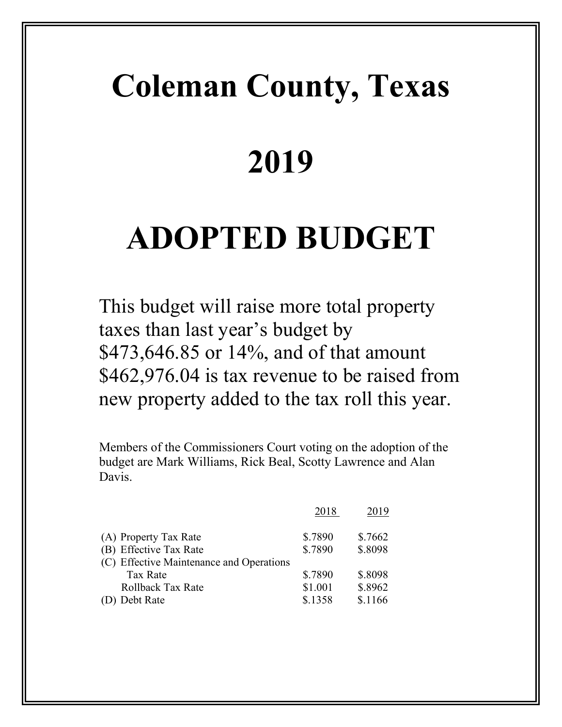# **Coleman County, Texas**

# **2019**

# **ADOPTED BUDGET**

This budget will raise more total property taxes than last year's budget by \$473,646.85 or 14%, and of that amount \$462,976.04 is tax revenue to be raised from new property added to the tax roll this year.

Members of the Commissioners Court voting on the adoption of the budget are Mark Williams, Rick Beal, Scotty Lawrence and Alan Davis.

|                                          | 2018    | 2019    |
|------------------------------------------|---------|---------|
| (A) Property Tax Rate                    | \$.7890 | \$.7662 |
| (B) Effective Tax Rate                   | \$.7890 | \$.8098 |
| (C) Effective Maintenance and Operations |         |         |
| <b>Tax Rate</b>                          | \$.7890 | \$.8098 |
| <b>Rollback Tax Rate</b>                 | \$1.001 | \$.8962 |
| (D) Debt Rate                            | \$.1358 | \$.1166 |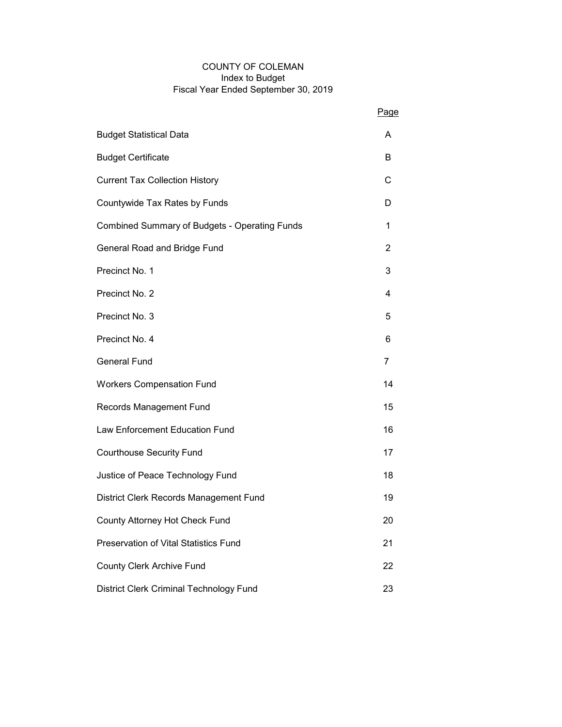#### COUNTY OF COLEMAN Index to Budget Fiscal Year Ended September 30, 2019

|                                               | Page           |
|-----------------------------------------------|----------------|
| <b>Budget Statistical Data</b>                | A              |
| <b>Budget Certificate</b>                     | B              |
| <b>Current Tax Collection History</b>         | С              |
| Countywide Tax Rates by Funds                 | D              |
| Combined Summary of Budgets - Operating Funds | 1              |
| General Road and Bridge Fund                  | 2              |
| Precinct No. 1                                | 3              |
| Precinct No. 2                                | 4              |
| Precinct No. 3                                | 5              |
| Precinct No. 4                                | 6              |
| <b>General Fund</b>                           | $\overline{7}$ |
| <b>Workers Compensation Fund</b>              | 14             |
| Records Management Fund                       | 15             |
| Law Enforcement Education Fund                | 16             |
| <b>Courthouse Security Fund</b>               | 17             |
| Justice of Peace Technology Fund              | 18             |
| District Clerk Records Management Fund        | 19             |
| County Attorney Hot Check Fund                | 20             |
| Preservation of Vital Statistics Fund         | 21             |
| <b>County Clerk Archive Fund</b>              | 22             |
| District Clerk Criminal Technology Fund       | 23             |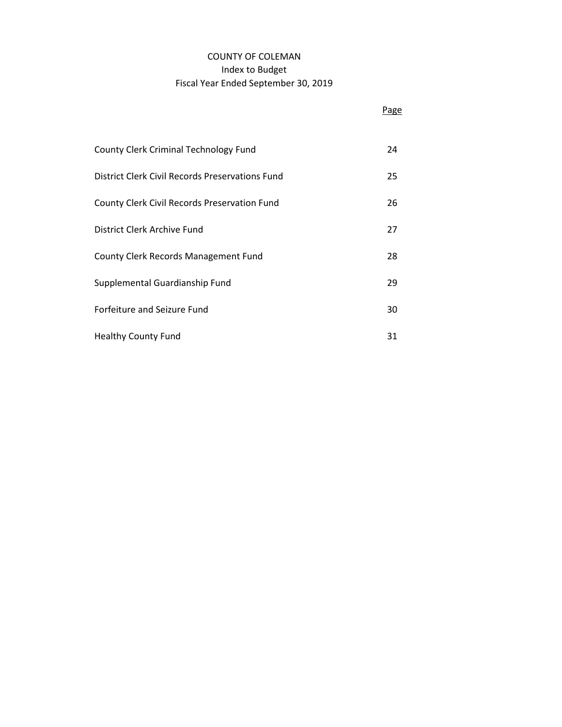## COUNTY OF COLEMAN Index to Budget Fiscal Year Ended September 30, 2019

|                                                 | Page |
|-------------------------------------------------|------|
| <b>County Clerk Criminal Technology Fund</b>    | 24   |
| District Clerk Civil Records Preservations Fund | 25   |
| County Clerk Civil Records Preservation Fund    | 26   |
| District Clerk Archive Fund                     | 27   |
| County Clerk Records Management Fund            | 28   |
| Supplemental Guardianship Fund                  | 29   |
| Forfeiture and Seizure Fund                     | 30   |
| <b>Healthy County Fund</b>                      | 31   |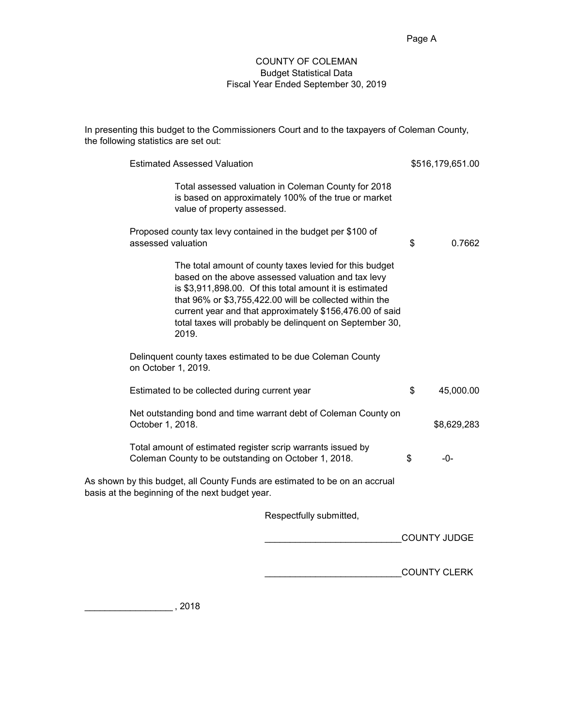\_\_\_\_\_\_\_\_\_\_\_\_\_\_\_\_\_\_\_\_\_\_\_\_\_\_\_COUNTY CLERK

#### COUNTY OF COLEMAN Budget Statistical Data Fiscal Year Ended September 30, 2019

In presenting this budget to the Commissioners Court and to the taxpayers of Coleman County, the following statistics are set out:

|                                                                                                                     | <b>Estimated Assessed Valuation</b>                                                                                                                                                                                                                                                                                                                                  | \$516,179,651.00    |
|---------------------------------------------------------------------------------------------------------------------|----------------------------------------------------------------------------------------------------------------------------------------------------------------------------------------------------------------------------------------------------------------------------------------------------------------------------------------------------------------------|---------------------|
|                                                                                                                     | Total assessed valuation in Coleman County for 2018<br>is based on approximately 100% of the true or market<br>value of property assessed.                                                                                                                                                                                                                           |                     |
| assessed valuation                                                                                                  | Proposed county tax levy contained in the budget per \$100 of                                                                                                                                                                                                                                                                                                        | \$<br>0.7662        |
|                                                                                                                     | The total amount of county taxes levied for this budget<br>based on the above assessed valuation and tax levy<br>is \$3,911,898.00. Of this total amount it is estimated<br>that 96% or \$3,755,422.00 will be collected within the<br>current year and that approximately \$156,476.00 of said<br>total taxes will probably be delinquent on September 30,<br>2019. |                     |
| on October 1, 2019.                                                                                                 | Delinquent county taxes estimated to be due Coleman County                                                                                                                                                                                                                                                                                                           |                     |
|                                                                                                                     | Estimated to be collected during current year                                                                                                                                                                                                                                                                                                                        | \$<br>45,000.00     |
| October 1, 2018.                                                                                                    | Net outstanding bond and time warrant debt of Coleman County on                                                                                                                                                                                                                                                                                                      | \$8,629,283         |
| Total amount of estimated register scrip warrants issued by<br>Coleman County to be outstanding on October 1, 2018. | \$<br>-0-                                                                                                                                                                                                                                                                                                                                                            |                     |
|                                                                                                                     | As shown by this budget, all County Funds are estimated to be on an accrual<br>basis at the beginning of the next budget year.                                                                                                                                                                                                                                       |                     |
|                                                                                                                     | Respectfully submitted,                                                                                                                                                                                                                                                                                                                                              |                     |
|                                                                                                                     |                                                                                                                                                                                                                                                                                                                                                                      | <b>COUNTY JUDGE</b> |
|                                                                                                                     |                                                                                                                                                                                                                                                                                                                                                                      |                     |

\_\_\_\_\_\_\_\_\_\_\_\_\_\_\_\_\_\_ , 2018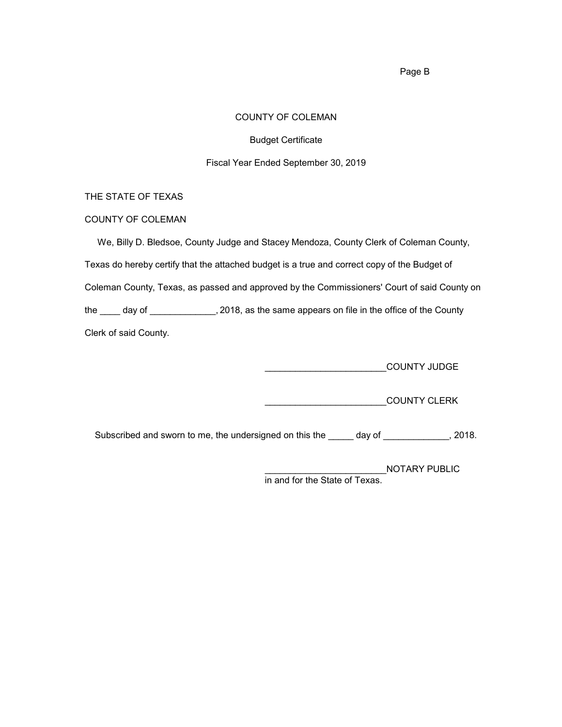#### COUNTY OF COLEMAN

Budget Certificate

#### Fiscal Year Ended September 30, 2019

#### THE STATE OF TEXAS

#### COUNTY OF COLEMAN

 We, Billy D. Bledsoe, County Judge and Stacey Mendoza, County Clerk of Coleman County, Texas do hereby certify that the attached budget is a true and correct copy of the Budget of Coleman County, Texas, as passed and approved by the Commissioners' Court of said County on the \_\_\_\_ day of \_\_\_\_\_\_\_\_\_\_\_\_\_, 2018, as the same appears on file in the office of the County Clerk of said County.

**THE REPORT OF STRIP COUNTY JUDGE** 

\_\_\_\_\_\_\_\_\_\_\_\_\_\_\_\_\_\_\_\_\_\_\_\_COUNTY CLERK

Subscribed and sworn to me, the undersigned on this the \_\_\_\_\_ day of \_\_\_\_\_\_\_\_\_\_\_, 2018.

\_\_\_\_\_\_\_\_\_\_\_\_\_\_\_\_\_\_\_\_\_\_\_\_NOTARY PUBLIC in and for the State of Texas.

Page B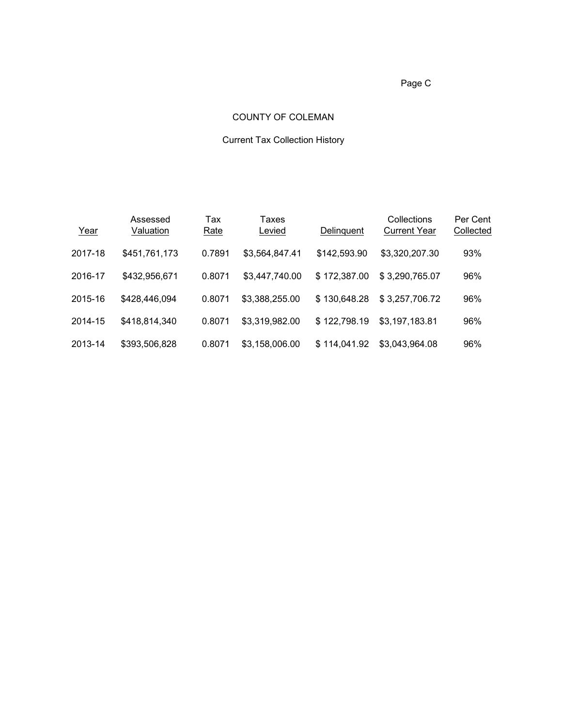Page C

#### COUNTY OF COLEMAN

# Current Tax Collection History

| Year    | Assessed<br>Valuation | Tax<br>Rate | Taxes<br>Levied | Delinguent   | Collections<br><b>Current Year</b> | Per Cent<br>Collected |
|---------|-----------------------|-------------|-----------------|--------------|------------------------------------|-----------------------|
| 2017-18 | \$451,761,173         | 0.7891      | \$3,564,847.41  | \$142,593.90 | \$3,320,207.30                     | 93%                   |
| 2016-17 | \$432,956,671         | 0.8071      | \$3,447,740.00  | \$172,387.00 | \$3,290,765.07                     | 96%                   |
| 2015-16 | \$428,446,094         | 0.8071      | \$3,388,255.00  | \$130,648.28 | \$3,257,706.72                     | 96%                   |
| 2014-15 | \$418,814,340         | 0.8071      | \$3,319,982.00  | \$122,798.19 | \$3,197,183.81                     | 96%                   |
| 2013-14 | \$393,506,828         | 0.8071      | \$3,158,006.00  | \$114.041.92 | \$3,043,964.08                     | 96%                   |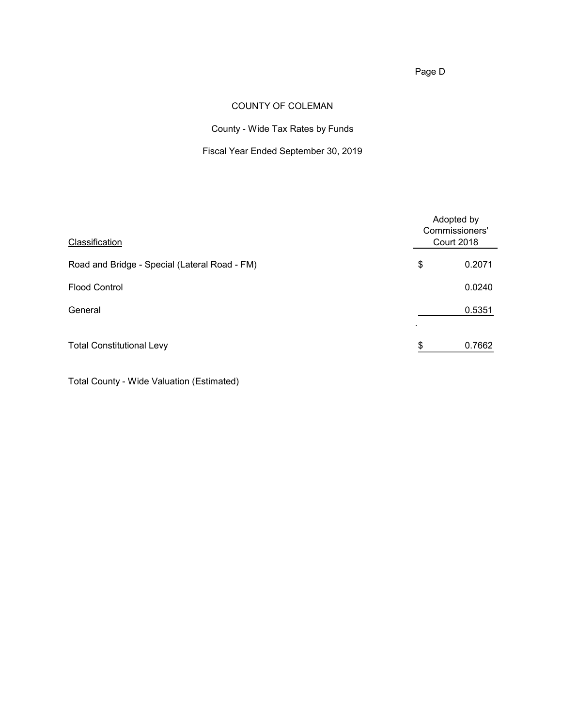Page D

## COUNTY OF COLEMAN

County - Wide Tax Rates by Funds

## Fiscal Year Ended September 30, 2019

| Classification                                | Adopted by<br>Commissioners'<br><b>Court 2018</b> |
|-----------------------------------------------|---------------------------------------------------|
| Road and Bridge - Special (Lateral Road - FM) | \$<br>0.2071                                      |
| <b>Flood Control</b>                          | 0.0240                                            |
| General                                       | 0.5351                                            |
| <b>Total Constitutional Levy</b>              | \$<br>0.7662                                      |

Total County - Wide Valuation (Estimated)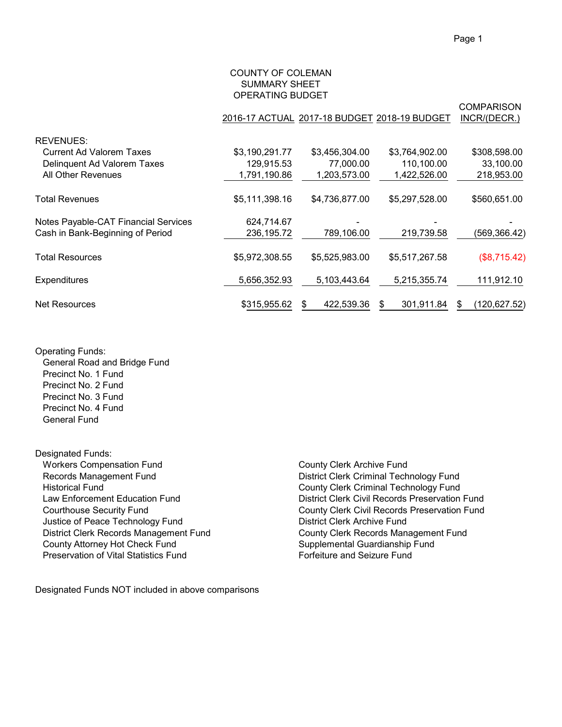#### COUNTY OF COLEMAN SUMMARY SHEET OPERATING BUDGET

|                                      |                |                | 2016-17 ACTUAL 2017-18 BUDGET 2018-19 BUDGET | <b>COMPARISON</b><br>INCR/(DECR.) |
|--------------------------------------|----------------|----------------|----------------------------------------------|-----------------------------------|
| <b>REVENUES:</b>                     |                |                |                                              |                                   |
| Current Ad Valorem Taxes             | \$3,190,291.77 | \$3,456,304.00 | \$3,764,902.00                               | \$308,598.00                      |
| Delinquent Ad Valorem Taxes          | 129,915.53     | 77,000.00      | 110,100.00                                   | 33,100.00                         |
| All Other Revenues                   | 1,791,190.86   | 1,203,573.00   | 1,422,526.00                                 | 218,953.00                        |
| <b>Total Revenues</b>                | \$5,111,398.16 | \$4,736,877.00 | \$5,297,528.00                               | \$560,651.00                      |
| Notes Payable-CAT Financial Services | 624,714.67     |                |                                              |                                   |
| Cash in Bank-Beginning of Period     | 236,195.72     | 789,106.00     | 219,739.58                                   | (569, 366.42)                     |
| <b>Total Resources</b>               | \$5,972,308.55 | \$5,525,983.00 | \$5,517,267.58                               | (\$8,715.42)                      |
| Expenditures                         | 5,656,352.93   | 5,103,443.64   | 5,215,355.74                                 | 111,912.10                        |
| <b>Net Resources</b>                 | \$315,955.62   | 422,539.36     | 301,911.84                                   | (120, 627.52)                     |

#### Operating Funds:

 General Road and Bridge Fund Precinct No. 1 Fund Precinct No. 2 Fund Precinct No. 3 Fund Precinct No. 4 Fund General Fund

Designated Funds: Workers Compensation Fund<br>
Records Management Fund<br>
County Clerk Archive Fund<br>
District Clerk Criminal Tech Records Management Fund<br>
Historical Fund<br>
District Clerk Criminal Technology Fund<br>
County Clerk Criminal Technology Fund Historical Fund<br>
Law Enforcement Education Fund<br>
County Clerk Criminal Technology Fund<br>
District Clerk Civil Records Preservation Justice of Peace Technology Fund District Clerk Archive Fund County Attorney Hot Check Fund<br>
Preservation of Vital Statistics Fund<br>
Forfeiture and Seizure Fund Preservation of Vital Statistics Fund

 Law Enforcement Education Fund District Clerk Civil Records Preservation Fund County Clerk Civil Records Preservation Fund District Clerk Records Management Fund<br>
County Attorney Hot Check Fund<br>
County Attorney Hot Check Fund<br>
County Attorney Hot Check Fund

Designated Funds NOT included in above comparisons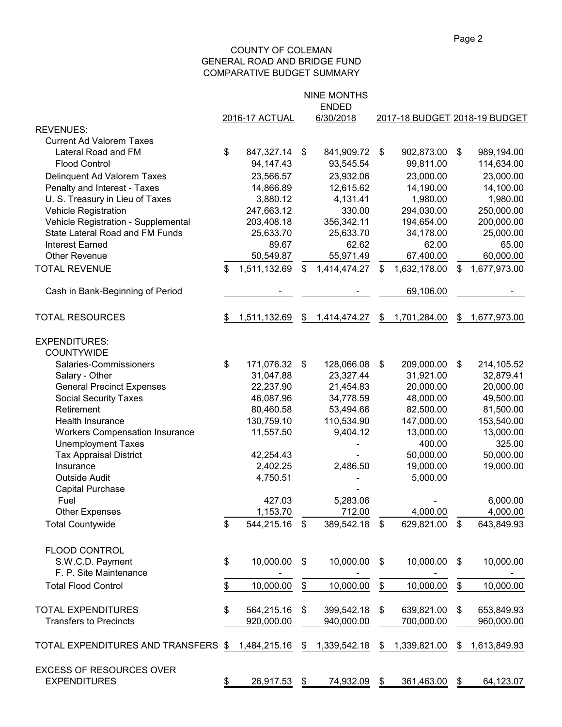#### COUNTY OF COLEMAN GENERAL ROAD AND BRIDGE FUND COMPARATIVE BUDGET SUMMARY

|                                                        |    | 2016-17 ACTUAL | <b>NINE MONTHS</b><br><b>ENDED</b><br>6/30/2018 |               | 2017-18 BUDGET 2018-19 BUDGET |                           |              |
|--------------------------------------------------------|----|----------------|-------------------------------------------------|---------------|-------------------------------|---------------------------|--------------|
| <b>REVENUES:</b>                                       |    |                |                                                 |               |                               |                           |              |
| <b>Current Ad Valorem Taxes</b>                        |    |                |                                                 |               |                               |                           |              |
| Lateral Road and FM                                    | \$ | 847,327.14     | \$<br>841,909.72 \$                             |               | 902,873.00                    | $\boldsymbol{\mathsf{S}}$ | 989,194.00   |
| <b>Flood Control</b>                                   |    | 94, 147. 43    | 93,545.54                                       |               | 99,811.00                     |                           | 114,634.00   |
| Delinquent Ad Valorem Taxes                            |    | 23,566.57      | 23,932.06                                       |               | 23,000.00                     |                           | 23,000.00    |
| Penalty and Interest - Taxes                           |    | 14,866.89      | 12,615.62                                       |               | 14,190.00                     |                           | 14,100.00    |
| U. S. Treasury in Lieu of Taxes                        |    | 3,880.12       | 4,131.41                                        |               | 1,980.00                      |                           | 1,980.00     |
| <b>Vehicle Registration</b>                            |    | 247,663.12     | 330.00                                          |               | 294,030.00                    |                           | 250,000.00   |
| Vehicle Registration - Supplemental                    |    | 203,408.18     | 356,342.11                                      |               | 194,654.00                    |                           | 200,000.00   |
| State Lateral Road and FM Funds                        |    | 25,633.70      | 25,633.70                                       |               | 34,178.00                     |                           | 25,000.00    |
| <b>Interest Earned</b>                                 |    | 89.67          | 62.62                                           |               | 62.00                         |                           | 65.00        |
| <b>Other Revenue</b>                                   |    | 50,549.87      | 55,971.49                                       |               | 67,400.00                     |                           | 60,000.00    |
| <b>TOTAL REVENUE</b>                                   | \$ | 1,511,132.69   | \$<br>1,414,474.27                              | \$            | 1,632,178.00                  | \$                        | 1,677,973.00 |
| Cash in Bank-Beginning of Period                       |    |                |                                                 |               | 69,106.00                     |                           |              |
| <b>TOTAL RESOURCES</b>                                 | S. | 1,511,132.69   | \$<br>1,414,474.27                              | \$            | 1,701,284.00                  | \$                        | 1,677,973.00 |
| <b>EXPENDITURES:</b>                                   |    |                |                                                 |               |                               |                           |              |
| <b>COUNTYWIDE</b>                                      |    |                |                                                 |               |                               |                           |              |
| Salaries-Commissioners                                 | \$ | 171,076.32     | \$<br>128,066.08                                | $\sqrt[6]{2}$ | 209,000.00                    | $\$\$                     | 214,105.52   |
| Salary - Other                                         |    | 31,047.88      | 23,327.44                                       |               | 31,921.00                     |                           | 32,879.41    |
| <b>General Precinct Expenses</b>                       |    | 22,237.90      | 21,454.83                                       |               | 20,000.00                     |                           | 20,000.00    |
| <b>Social Security Taxes</b>                           |    | 46,087.96      | 34,778.59                                       |               | 48,000.00                     |                           | 49,500.00    |
| Retirement                                             |    | 80,460.58      | 53,494.66                                       |               | 82,500.00                     |                           | 81,500.00    |
| Health Insurance                                       |    | 130,759.10     | 110,534.90                                      |               | 147,000.00                    |                           | 153,540.00   |
| <b>Workers Compensation Insurance</b>                  |    | 11,557.50      | 9,404.12                                        |               | 13,000.00                     |                           | 13,000.00    |
| <b>Unemployment Taxes</b>                              |    |                |                                                 |               | 400.00                        |                           | 325.00       |
| <b>Tax Appraisal District</b>                          |    | 42,254.43      |                                                 |               | 50,000.00                     |                           | 50,000.00    |
| Insurance                                              |    | 2,402.25       | 2,486.50                                        |               | 19,000.00                     |                           | 19,000.00    |
| <b>Outside Audit</b>                                   |    | 4,750.51       |                                                 |               | 5,000.00                      |                           |              |
| Capital Purchase                                       |    |                |                                                 |               |                               |                           |              |
| Fuel                                                   |    | 427.03         | 5,283.06                                        |               |                               |                           | 6,000.00     |
| <b>Other Expenses</b>                                  |    | 1,153.70       | 712.00                                          |               | 4,000.00                      |                           | 4,000.00     |
| <b>Total Countywide</b>                                | \$ | 544,215.16     | \$<br>389,542.18                                | \$            | 629,821.00                    | \$                        | 643,849.93   |
| FLOOD CONTROL                                          |    |                |                                                 |               |                               |                           |              |
| S.W.C.D. Payment                                       | \$ | 10,000.00      | \$<br>10,000.00                                 | \$            | 10,000.00                     | \$                        | 10,000.00    |
| F. P. Site Maintenance                                 |    |                |                                                 |               |                               |                           |              |
| <b>Total Flood Control</b>                             | \$ | 10,000.00      | \$<br>10,000.00                                 | \$            | 10,000.00                     | \$                        | 10,000.00    |
| <b>TOTAL EXPENDITURES</b>                              | \$ | 564,215.16     | \$<br>399,542.18                                | \$            | 639,821.00                    | \$                        | 653,849.93   |
| <b>Transfers to Precincts</b>                          |    | 920,000.00     | 940,000.00                                      |               | 700,000.00                    |                           | 960,000.00   |
| TOTAL EXPENDITURES AND TRANSFERS \$                    |    | 1,484,215.16   | \$<br>1,339,542.18                              | \$            | 1,339,821.00                  | \$                        | 1,613,849.93 |
| <b>EXCESS OF RESOURCES OVER</b><br><b>EXPENDITURES</b> | \$ | 26,917.53      | \$<br>74,932.09                                 | \$            | 361,463.00                    | \$                        | 64,123.07    |
|                                                        |    |                |                                                 |               |                               |                           |              |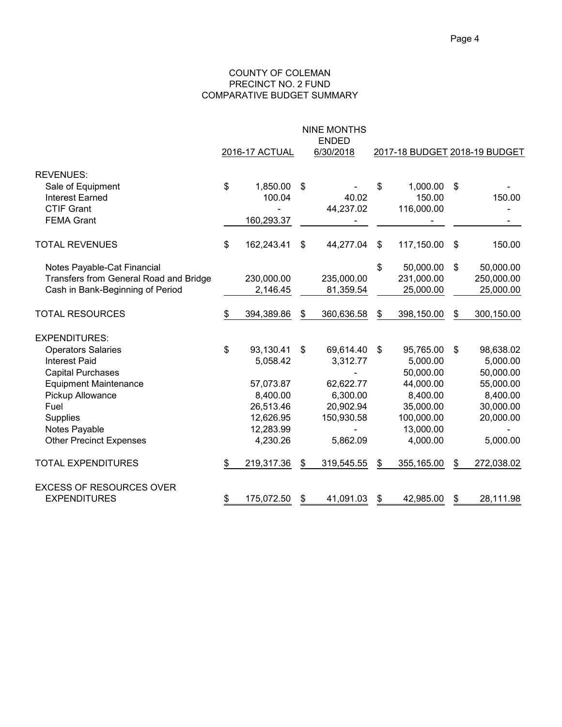#### COUNTY OF COLEMAN PRECINCT NO. 2 FUND COMPARATIVE BUDGET SUMMARY

|                                                                                                                                                                                                                                         |           | 2016-17 ACTUAL                                                                                    | <b>NINE MONTHS</b><br><b>ENDED</b><br>6/30/2018                                             | 2017-18 BUDGET 2018-19 BUDGET |                                                                                                                 |    |                                                                                                   |  |
|-----------------------------------------------------------------------------------------------------------------------------------------------------------------------------------------------------------------------------------------|-----------|---------------------------------------------------------------------------------------------------|---------------------------------------------------------------------------------------------|-------------------------------|-----------------------------------------------------------------------------------------------------------------|----|---------------------------------------------------------------------------------------------------|--|
| <b>REVENUES:</b><br>Sale of Equipment<br><b>Interest Earned</b><br><b>CTIF Grant</b><br><b>FEMA Grant</b>                                                                                                                               | \$        | 1,850.00<br>100.04<br>160,293.37                                                                  | \$<br>40.02<br>44,237.02                                                                    | \$                            | 1,000.00<br>150.00<br>116,000.00                                                                                | \$ | 150.00                                                                                            |  |
| <b>TOTAL REVENUES</b>                                                                                                                                                                                                                   | \$        | 162,243.41                                                                                        | \$<br>44,277.04                                                                             | \$                            | 117,150.00                                                                                                      | \$ | 150.00                                                                                            |  |
| Notes Payable-Cat Financial<br>Transfers from General Road and Bridge<br>Cash in Bank-Beginning of Period                                                                                                                               |           | 230,000.00<br>2,146.45                                                                            | 235,000.00<br>81,359.54                                                                     | \$                            | 50,000.00<br>231,000.00<br>25,000.00                                                                            | \$ | 50,000.00<br>250,000.00<br>25,000.00                                                              |  |
| <b>TOTAL RESOURCES</b>                                                                                                                                                                                                                  | \$        | 394,389.86                                                                                        | \$<br>360,636.58                                                                            | \$                            | 398,150.00                                                                                                      | \$ | 300,150.00                                                                                        |  |
| <b>EXPENDITURES:</b><br><b>Operators Salaries</b><br><b>Interest Paid</b><br><b>Capital Purchases</b><br><b>Equipment Maintenance</b><br>Pickup Allowance<br>Fuel<br><b>Supplies</b><br>Notes Payable<br><b>Other Precinct Expenses</b> | \$        | 93,130.41<br>5,058.42<br>57,073.87<br>8,400.00<br>26,513.46<br>12,626.95<br>12,283.99<br>4,230.26 | \$<br>69,614.40<br>3,312.77<br>62,622.77<br>6,300.00<br>20,902.94<br>150,930.58<br>5,862.09 | \$                            | 95,765.00<br>5,000.00<br>50,000.00<br>44,000.00<br>8,400.00<br>35,000.00<br>100,000.00<br>13,000.00<br>4,000.00 | \$ | 98,638.02<br>5,000.00<br>50,000.00<br>55,000.00<br>8,400.00<br>30,000.00<br>20,000.00<br>5,000.00 |  |
| <b>TOTAL EXPENDITURES</b>                                                                                                                                                                                                               | \$        | 219,317.36                                                                                        | \$<br>319,545.55                                                                            | \$                            | 355,165.00                                                                                                      | \$ | 272,038.02                                                                                        |  |
| <b>EXCESS OF RESOURCES OVER</b><br><b>EXPENDITURES</b>                                                                                                                                                                                  | <u>\$</u> | 175,072.50                                                                                        | \$<br>41,091.03                                                                             |                               | 42,985.00                                                                                                       | \$ | 28,111.98                                                                                         |  |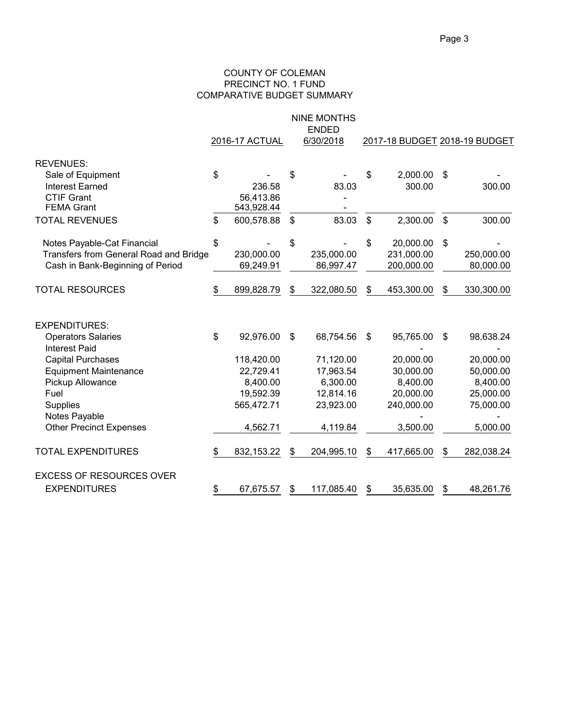#### COUNTY OF COLEMAN PRECINCT NO. 1 FUND COMPARATIVE BUDGET SUMMARY

|                                                   |                |            |                           | <b>NINE MONTHS</b><br><b>ENDED</b> |               |                               |                |            |  |
|---------------------------------------------------|----------------|------------|---------------------------|------------------------------------|---------------|-------------------------------|----------------|------------|--|
|                                                   | 2016-17 ACTUAL |            | 6/30/2018                 |                                    |               | 2017-18 BUDGET 2018-19 BUDGET |                |            |  |
| <b>REVENUES:</b>                                  |                |            |                           |                                    |               |                               |                |            |  |
| Sale of Equipment                                 | \$             |            | \$                        |                                    | \$            | 2,000.00                      | \$             |            |  |
| <b>Interest Earned</b>                            |                | 236.58     |                           | 83.03                              |               | 300.00                        |                | 300.00     |  |
| <b>CTIF Grant</b>                                 |                | 56,413.86  |                           |                                    |               |                               |                |            |  |
| <b>FEMA Grant</b>                                 |                | 543,928.44 |                           |                                    |               |                               |                |            |  |
| <b>TOTAL REVENUES</b>                             | \$             | 600,578.88 | $\boldsymbol{\mathsf{S}}$ | 83.03                              | $\mathsf{\$}$ | 2,300.00                      | $\mathfrak{S}$ | 300.00     |  |
| Notes Payable-Cat Financial                       | \$             |            | \$                        |                                    | \$            | 20,000.00                     | \$             |            |  |
| Transfers from General Road and Bridge            |                | 230,000.00 |                           | 235,000.00                         |               | 231,000.00                    |                | 250,000.00 |  |
| Cash in Bank-Beginning of Period                  |                | 69,249.91  |                           | 86,997.47                          |               | 200,000.00                    |                | 80,000.00  |  |
| <b>TOTAL RESOURCES</b>                            | \$             | 899,828.79 | $\$\$                     | 322,080.50                         | \$            | 453,300.00                    | \$             | 330,300.00 |  |
| <b>EXPENDITURES:</b>                              |                |            |                           |                                    |               |                               |                |            |  |
| <b>Operators Salaries</b><br><b>Interest Paid</b> | \$             | 92,976.00  | \$                        | 68,754.56                          | \$            | 95,765.00                     | \$             | 98,638.24  |  |
| <b>Capital Purchases</b>                          |                | 118,420.00 |                           | 71,120.00                          |               | 20,000.00                     |                | 20,000.00  |  |
| <b>Equipment Maintenance</b>                      |                | 22,729.41  |                           | 17,963.54                          |               | 30,000.00                     |                | 50,000.00  |  |
| Pickup Allowance                                  |                | 8,400.00   |                           | 6,300.00                           |               | 8,400.00                      |                | 8,400.00   |  |
| Fuel                                              |                | 19,592.39  |                           | 12,814.16                          |               | 20,000.00                     |                | 25,000.00  |  |
| <b>Supplies</b>                                   |                | 565,472.71 |                           | 23,923.00                          |               | 240,000.00                    |                | 75,000.00  |  |
| Notes Payable                                     |                |            |                           |                                    |               |                               |                |            |  |
| <b>Other Precinct Expenses</b>                    |                | 4,562.71   |                           | 4,119.84                           |               | 3,500.00                      |                | 5,000.00   |  |
| <b>TOTAL EXPENDITURES</b>                         | \$             | 832,153.22 | $\$\$                     | 204,995.10                         | \$            | 417,665.00                    | \$             | 282,038.24 |  |
| <b>EXCESS OF RESOURCES OVER</b>                   |                |            |                           |                                    |               |                               |                |            |  |
| <b>EXPENDITURES</b>                               | \$             | 67,675.57  | S                         | 117,085.40                         | \$            | 35,635.00                     | \$             | 48,261.76  |  |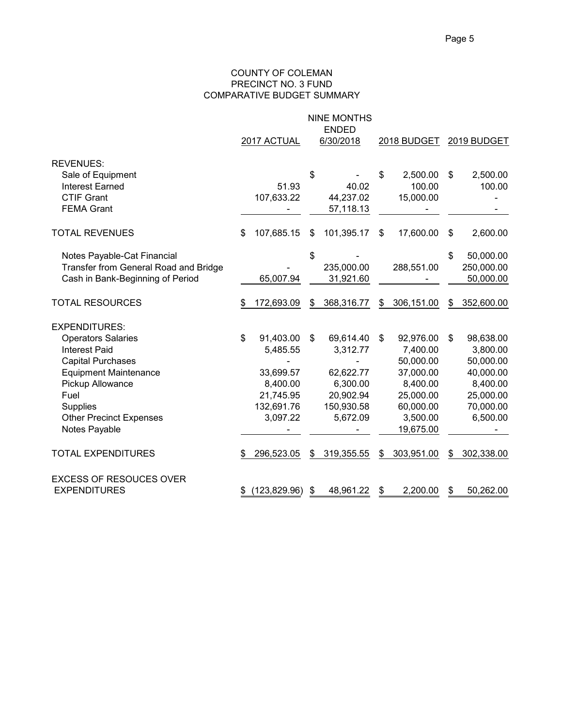#### COUNTY OF COLEMAN PRECINCT NO. 3 FUND COMPARATIVE BUDGET SUMMARY

|                                       | <b>NINE MONTHS</b><br><b>ENDED</b><br>2017 ACTUAL<br>6/30/2018<br>2018 BUDGET |               |    |            |                |            |    | 2019 BUDGET |  |
|---------------------------------------|-------------------------------------------------------------------------------|---------------|----|------------|----------------|------------|----|-------------|--|
| <b>REVENUES:</b>                      |                                                                               |               |    |            |                |            |    |             |  |
| Sale of Equipment                     |                                                                               |               | \$ |            | \$             | 2,500.00   | \$ | 2,500.00    |  |
| <b>Interest Earned</b>                |                                                                               | 51.93         |    | 40.02      |                | 100.00     |    | 100.00      |  |
| <b>CTIF Grant</b>                     |                                                                               | 107,633.22    |    | 44,237.02  |                | 15,000.00  |    |             |  |
| <b>FEMA Grant</b>                     |                                                                               |               |    | 57,118.13  |                |            |    |             |  |
| <b>TOTAL REVENUES</b>                 | \$                                                                            | 107,685.15    | \$ | 101,395.17 | \$             | 17,600.00  | \$ | 2,600.00    |  |
| Notes Payable-Cat Financial           |                                                                               |               | \$ |            |                |            | \$ | 50,000.00   |  |
| Transfer from General Road and Bridge |                                                                               |               |    | 235,000.00 |                | 288,551.00 |    | 250,000.00  |  |
| Cash in Bank-Beginning of Period      |                                                                               | 65,007.94     |    | 31,921.60  |                |            |    | 50,000.00   |  |
| <b>TOTAL RESOURCES</b>                |                                                                               | 172,693.09    | \$ | 368,316.77 | S              | 306,151.00 | S  | 352,600.00  |  |
| <b>EXPENDITURES:</b>                  |                                                                               |               |    |            |                |            |    |             |  |
| <b>Operators Salaries</b>             | \$                                                                            | 91,403.00     | \$ | 69,614.40  | $\mathfrak{S}$ | 92,976.00  | \$ | 98,638.00   |  |
| <b>Interest Paid</b>                  |                                                                               | 5,485.55      |    | 3,312.77   |                | 7,400.00   |    | 3,800.00    |  |
| <b>Capital Purchases</b>              |                                                                               |               |    |            |                | 50,000.00  |    | 50,000.00   |  |
| <b>Equipment Maintenance</b>          |                                                                               | 33,699.57     |    | 62,622.77  |                | 37,000.00  |    | 40,000.00   |  |
| Pickup Allowance                      |                                                                               | 8,400.00      |    | 6,300.00   |                | 8,400.00   |    | 8,400.00    |  |
| Fuel                                  |                                                                               | 21,745.95     |    | 20,902.94  |                | 25,000.00  |    | 25,000.00   |  |
| <b>Supplies</b>                       |                                                                               | 132,691.76    |    | 150,930.58 |                | 60,000.00  |    | 70,000.00   |  |
| <b>Other Precinct Expenses</b>        |                                                                               | 3,097.22      |    | 5,672.09   |                | 3,500.00   |    | 6,500.00    |  |
| Notes Payable                         |                                                                               |               |    |            |                | 19,675.00  |    |             |  |
| <b>TOTAL EXPENDITURES</b>             | \$                                                                            | 296,523.05    | \$ | 319,355.55 | \$             | 303,951.00 | \$ | 302,338.00  |  |
| <b>EXCESS OF RESOUCES OVER</b>        |                                                                               |               |    |            |                |            |    |             |  |
| <b>EXPENDITURES</b>                   |                                                                               | (123, 829.96) | S  | 48,961.22  | S              | 2,200.00   | \$ | 50,262.00   |  |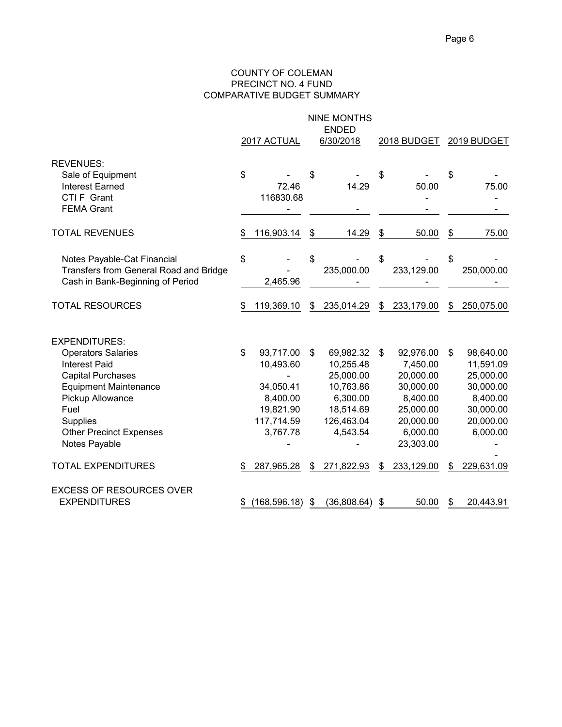#### COUNTY OF COLEMAN PRECINCT NO. 4 FUND COMPARATIVE BUDGET SUMMARY

|                                                                                                                                                                                                                           |    | 2017 ACTUAL                                                                            | <b>NINE MONTHS</b><br><b>ENDED</b><br>6/30/2018                                                           |    | 2018 BUDGET                                                                                                    |    | 2019 BUDGET                                                                                        |
|---------------------------------------------------------------------------------------------------------------------------------------------------------------------------------------------------------------------------|----|----------------------------------------------------------------------------------------|-----------------------------------------------------------------------------------------------------------|----|----------------------------------------------------------------------------------------------------------------|----|----------------------------------------------------------------------------------------------------|
| <b>REVENUES:</b><br>Sale of Equipment<br><b>Interest Earned</b><br>CTI F Grant<br><b>FEMA Grant</b>                                                                                                                       | \$ | 72.46<br>116830.68                                                                     | \$<br>14.29                                                                                               | \$ | 50.00                                                                                                          | S  | 75.00                                                                                              |
| <b>TOTAL REVENUES</b>                                                                                                                                                                                                     | S  | 116,903.14                                                                             | \$<br>14.29                                                                                               | \$ | 50.00                                                                                                          | \$ | 75.00                                                                                              |
| Notes Payable-Cat Financial<br>Transfers from General Road and Bridge<br>Cash in Bank-Beginning of Period                                                                                                                 | \$ | 2,465.96                                                                               | \$<br>235,000.00                                                                                          | \$ | 233,129.00                                                                                                     | \$ | 250,000.00                                                                                         |
| <b>TOTAL RESOURCES</b>                                                                                                                                                                                                    | \$ | 119,369.10                                                                             | \$<br>235,014.29                                                                                          | \$ | 233,179.00                                                                                                     | \$ | 250,075.00                                                                                         |
| <b>EXPENDITURES:</b><br><b>Operators Salaries</b><br>Interest Paid<br><b>Capital Purchases</b><br><b>Equipment Maintenance</b><br>Pickup Allowance<br>Fuel<br>Supplies<br><b>Other Precinct Expenses</b><br>Notes Payable | \$ | 93,717.00<br>10,493.60<br>34,050.41<br>8,400.00<br>19,821.90<br>117,714.59<br>3,767.78 | \$<br>69,982.32<br>10,255.48<br>25,000.00<br>10,763.86<br>6,300.00<br>18,514.69<br>126,463.04<br>4,543.54 | \$ | 92,976.00<br>7,450.00<br>20,000.00<br>30,000.00<br>8,400.00<br>25,000.00<br>20,000.00<br>6,000.00<br>23,303.00 | \$ | 98,640.00<br>11,591.09<br>25,000.00<br>30,000.00<br>8,400.00<br>30,000.00<br>20,000.00<br>6,000.00 |
| <b>TOTAL EXPENDITURES</b>                                                                                                                                                                                                 | S  | 287,965.28                                                                             | \$<br>271,822.93                                                                                          | S  | 233,129.00                                                                                                     | S  | 229,631.09                                                                                         |
| <b>EXCESS OF RESOURCES OVER</b><br><b>EXPENDITURES</b>                                                                                                                                                                    | \$ | (168, 596.18)                                                                          | \$<br>(36,808.64)                                                                                         | \$ | 50.00                                                                                                          | \$ | 20,443.91                                                                                          |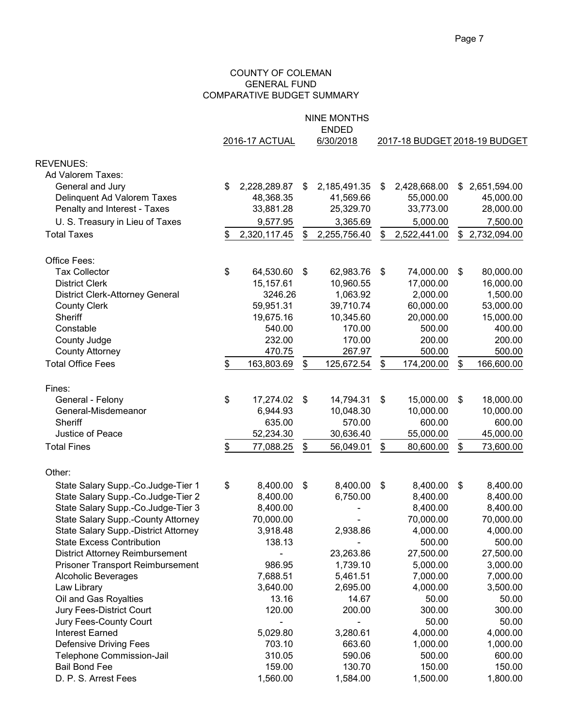#### COUNTY OF COLEMAN GENERAL FUND COMPARATIVE BUDGET SUMMARY

|                                         |                    |                            | <b>NINE MONTHS</b><br><b>ENDED</b> |                               |                           |                |
|-----------------------------------------|--------------------|----------------------------|------------------------------------|-------------------------------|---------------------------|----------------|
|                                         | 2016-17 ACTUAL     |                            | 6/30/2018                          | 2017-18 BUDGET 2018-19 BUDGET |                           |                |
| <b>REVENUES:</b>                        |                    |                            |                                    |                               |                           |                |
| Ad Valorem Taxes:                       |                    |                            |                                    |                               |                           |                |
| General and Jury                        | \$<br>2,228,289.87 | \$                         | 2,185,491.35                       | \$<br>2,428,668.00            | \$                        | 2,651,594.00   |
| Delinquent Ad Valorem Taxes             | 48,368.35          |                            | 41,569.66                          | 55,000.00                     |                           | 45,000.00      |
| Penalty and Interest - Taxes            | 33,881.28          |                            | 25,329.70                          | 33,773.00                     |                           | 28,000.00      |
| U. S. Treasury in Lieu of Taxes         | 9,577.95           |                            | 3,365.69                           | 5,000.00                      |                           | 7,500.00       |
| <b>Total Taxes</b>                      | \$<br>2,320,117.45 | \$                         | 2,255,756.40                       | \$<br>2,522,441.00            |                           | \$2,732,094.00 |
| Office Fees:                            |                    |                            |                                    |                               |                           |                |
| <b>Tax Collector</b>                    | \$<br>64,530.60    | \$                         | 62,983.76                          | \$<br>74,000.00               | $\boldsymbol{\mathsf{s}}$ | 80,000.00      |
| <b>District Clerk</b>                   | 15,157.61          |                            | 10,960.55                          | 17,000.00                     |                           | 16,000.00      |
| <b>District Clerk-Attorney General</b>  | 3246.26            |                            | 1,063.92                           | 2,000.00                      |                           | 1,500.00       |
| <b>County Clerk</b>                     | 59,951.31          |                            | 39,710.74                          | 60,000.00                     |                           | 53,000.00      |
| Sheriff                                 | 19,675.16          |                            | 10,345.60                          | 20,000.00                     |                           | 15,000.00      |
| Constable                               | 540.00             |                            | 170.00                             | 500.00                        |                           | 400.00         |
| County Judge                            | 232.00             |                            | 170.00                             | 200.00                        |                           | 200.00         |
| <b>County Attorney</b>                  | 470.75             |                            | 267.97                             | 500.00                        |                           | 500.00         |
| <b>Total Office Fees</b>                | \$<br>163,803.69   | \$                         | 125,672.54                         | \$<br>174,200.00              | \$                        | 166,600.00     |
| Fines:                                  |                    |                            |                                    |                               |                           |                |
| General - Felony                        | \$<br>17,274.02    | \$                         | 14,794.31                          | \$<br>15,000.00               | \$                        | 18,000.00      |
| General-Misdemeanor                     | 6,944.93           |                            | 10,048.30                          | 10,000.00                     |                           | 10,000.00      |
| Sheriff                                 | 635.00             |                            | 570.00                             | 600.00                        |                           | 600.00         |
| Justice of Peace                        | 52,234.30          |                            | 30,636.40                          | 55,000.00                     |                           | 45,000.00      |
| <b>Total Fines</b>                      | \$<br>77,088.25    | \$                         | 56,049.01                          | \$<br>80,600.00               | \$                        | 73,600.00      |
| Other:                                  |                    |                            |                                    |                               |                           |                |
| State Salary Supp.-Co.Judge-Tier 1      | \$<br>8,400.00     | $\boldsymbol{\mathsf{\$}}$ | 8,400.00                           | \$<br>8,400.00                | \$                        | 8,400.00       |
| State Salary Supp.-Co.Judge-Tier 2      | 8,400.00           |                            | 6,750.00                           | 8,400.00                      |                           | 8,400.00       |
| State Salary Supp.-Co.Judge-Tier 3      | 8,400.00           |                            |                                    | 8,400.00                      |                           | 8,400.00       |
| State Salary Supp.-County Attorney      | 70,000.00          |                            |                                    | 70,000.00                     |                           | 70,000.00      |
| State Salary Supp.-District Attorney    | 3,918.48           |                            | 2,938.86                           | 4,000.00                      |                           | 4,000.00       |
| <b>State Excess Contribution</b>        | 138.13             |                            |                                    | 500.00                        |                           | 500.00         |
| <b>District Attorney Reimbursement</b>  |                    |                            | 23,263.86                          | 27,500.00                     |                           | 27,500.00      |
| <b>Prisoner Transport Reimbursement</b> | 986.95             |                            | 1,739.10                           | 5,000.00                      |                           | 3,000.00       |
| <b>Alcoholic Beverages</b>              | 7,688.51           |                            | 5,461.51                           | 7,000.00                      |                           | 7,000.00       |
| Law Library                             | 3,640.00           |                            | 2,695.00                           | 4,000.00                      |                           | 3,500.00       |
| Oil and Gas Royalties                   | 13.16              |                            | 14.67                              | 50.00                         |                           | 50.00          |
| Jury Fees-District Court                | 120.00             |                            | 200.00                             | 300.00                        |                           | 300.00         |
| Jury Fees-County Court                  |                    |                            |                                    | 50.00                         |                           | 50.00          |
| <b>Interest Earned</b>                  | 5,029.80           |                            | 3,280.61                           | 4,000.00                      |                           | 4,000.00       |
| <b>Defensive Driving Fees</b>           | 703.10             |                            | 663.60                             | 1,000.00                      |                           | 1,000.00       |
| Telephone Commission-Jail               | 310.05             |                            | 590.06                             | 500.00                        |                           | 600.00         |
| <b>Bail Bond Fee</b>                    | 159.00             |                            | 130.70                             | 150.00                        |                           | 150.00         |
| D. P. S. Arrest Fees                    | 1,560.00           |                            | 1,584.00                           | 1,500.00                      |                           | 1,800.00       |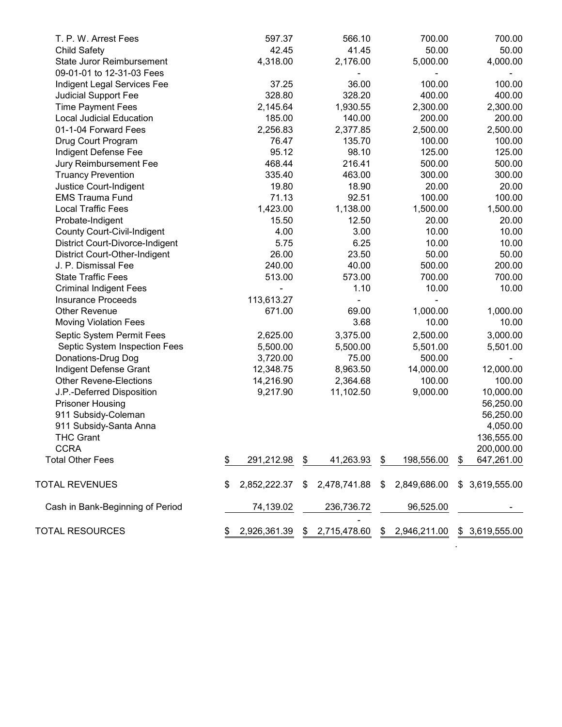| T. P. W. Arrest Fees                 | 597.37             |    | 566.10         | 700.00           | 700.00           |
|--------------------------------------|--------------------|----|----------------|------------------|------------------|
| <b>Child Safety</b>                  | 42.45              |    | 41.45          | 50.00            | 50.00            |
| <b>State Juror Reimbursement</b>     | 4,318.00           |    | 2,176.00       | 5,000.00         | 4,000.00         |
| 09-01-01 to 12-31-03 Fees            |                    |    |                |                  |                  |
| Indigent Legal Services Fee          | 37.25              |    | 36.00          | 100.00           | 100.00           |
| Judicial Support Fee                 | 328.80             |    | 328.20         | 400.00           | 400.00           |
| <b>Time Payment Fees</b>             | 2,145.64           |    | 1,930.55       | 2,300.00         | 2,300.00         |
| <b>Local Judicial Education</b>      | 185.00             |    | 140.00         | 200.00           | 200.00           |
| 01-1-04 Forward Fees                 | 2,256.83           |    | 2,377.85       | 2,500.00         | 2,500.00         |
| Drug Court Program                   | 76.47              |    | 135.70         | 100.00           | 100.00           |
| Indigent Defense Fee                 | 95.12              |    | 98.10          | 125.00           | 125.00           |
| Jury Reimbursement Fee               | 468.44             |    | 216.41         | 500.00           | 500.00           |
| <b>Truancy Prevention</b>            | 335.40             |    | 463.00         | 300.00           | 300.00           |
| Justice Court-Indigent               | 19.80              |    | 18.90          | 20.00            | 20.00            |
| <b>EMS Trauma Fund</b>               | 71.13              |    | 92.51          | 100.00           | 100.00           |
| <b>Local Traffic Fees</b>            | 1,423.00           |    | 1,138.00       | 1,500.00         | 1,500.00         |
| Probate-Indigent                     | 15.50              |    | 12.50          | 20.00            | 20.00            |
| <b>County Court-Civil-Indigent</b>   | 4.00               |    | 3.00           | 10.00            | 10.00            |
| District Court-Divorce-Indigent      | 5.75               |    | 6.25           | 10.00            | 10.00            |
| <b>District Court-Other-Indigent</b> | 26.00              |    | 23.50          | 50.00            | 50.00            |
| J. P. Dismissal Fee                  | 240.00             |    | 40.00          | 500.00           | 200.00           |
| <b>State Traffic Fees</b>            | 513.00             |    | 573.00         | 700.00           | 700.00           |
| <b>Criminal Indigent Fees</b>        |                    |    | 1.10           | 10.00            | 10.00            |
| <b>Insurance Proceeds</b>            | 113,613.27         |    |                |                  |                  |
| <b>Other Revenue</b>                 | 671.00             |    | 69.00          | 1,000.00         | 1,000.00         |
| <b>Moving Violation Fees</b>         |                    |    | 3.68           | 10.00            | 10.00            |
| Septic System Permit Fees            | 2,625.00           |    | 3,375.00       | 2,500.00         | 3,000.00         |
| Septic System Inspection Fees        | 5,500.00           |    | 5,500.00       | 5,501.00         | 5,501.00         |
| Donations-Drug Dog                   | 3,720.00           |    | 75.00          | 500.00           |                  |
| Indigent Defense Grant               | 12,348.75          |    | 8,963.50       | 14,000.00        | 12,000.00        |
| <b>Other Revene-Elections</b>        | 14,216.90          |    | 2,364.68       | 100.00           | 100.00           |
| J.P.-Deferred Disposition            | 9,217.90           |    | 11,102.50      | 9,000.00         | 10,000.00        |
| <b>Prisoner Housing</b>              |                    |    |                |                  | 56,250.00        |
| 911 Subsidy-Coleman                  |                    |    |                |                  | 56,250.00        |
| 911 Subsidy-Santa Anna               |                    |    |                |                  | 4,050.00         |
| <b>THC Grant</b>                     |                    |    |                |                  | 136,555.00       |
| <b>CCRA</b>                          |                    |    |                |                  | 200,000.00       |
| <b>Total Other Fees</b>              | \$<br>291,212.98   | \$ | 41,263.93      | \$<br>198,556.00 | \$<br>647,261.00 |
| <b>TOTAL REVENUES</b>                | \$<br>2,852,222.37 | S. | 2,478,741.88   | \$ 2,849,686.00  | \$3,619,555.00   |
|                                      |                    |    |                |                  |                  |
| Cash in Bank-Beginning of Period     | 74,139.02          |    | 236,736.72     | 96,525.00        |                  |
| <b>TOTAL RESOURCES</b>               | \$<br>2,926,361.39 |    | \$2,715,478.60 | \$2,946,211.00   | \$ 3,619,555.00  |

.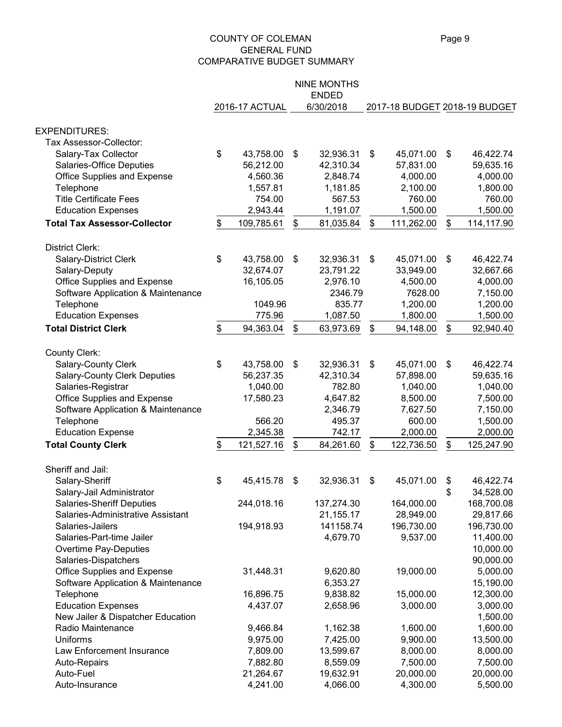#### COUNTY OF COLEMAN Page 9 GENERAL FUND COMPARATIVE BUDGET SUMMARY

|                                        |                  | <b>NINE MONTHS</b> |                               |                            |            |
|----------------------------------------|------------------|--------------------|-------------------------------|----------------------------|------------|
|                                        |                  | <b>ENDED</b>       |                               |                            |            |
|                                        | 2016-17 ACTUAL   | 6/30/2018          | 2017-18 BUDGET 2018-19 BUDGET |                            |            |
| <b>EXPENDITURES:</b>                   |                  |                    |                               |                            |            |
| Tax Assessor-Collector:                |                  |                    |                               |                            |            |
| Salary-Tax Collector                   | \$<br>43,758.00  | \$<br>32,936.31    | \$<br>45,071.00               | \$                         | 46,422.74  |
| Salaries-Office Deputies               | 56,212.00        | 42,310.34          | 57,831.00                     |                            | 59,635.16  |
| Office Supplies and Expense            | 4,560.36         | 2,848.74           | 4,000.00                      |                            | 4,000.00   |
| Telephone                              | 1,557.81         | 1,181.85           | 2,100.00                      |                            | 1,800.00   |
| <b>Title Certificate Fees</b>          | 754.00           | 567.53             | 760.00                        |                            | 760.00     |
| <b>Education Expenses</b>              | 2,943.44         | 1,191.07           | 1,500.00                      |                            | 1,500.00   |
| <b>Total Tax Assessor-Collector</b>    | \$<br>109,785.61 | \$<br>81,035.84    | \$<br>111,262.00              | \$                         | 114,117.90 |
| District Clerk:                        |                  |                    |                               |                            |            |
|                                        | 43,758.00        | 32,936.31          | 45,071.00                     | \$                         | 46,422.74  |
| <b>Salary-District Clerk</b>           | \$<br>32,674.07  | \$<br>23,791.22    | \$<br>33,949.00               |                            | 32,667.66  |
| Salary-Deputy                          | 16,105.05        | 2,976.10           | 4,500.00                      |                            | 4,000.00   |
| Office Supplies and Expense            |                  | 2346.79            | 7628.00                       |                            | 7,150.00   |
| Software Application & Maintenance     | 1049.96          | 835.77             | 1,200.00                      |                            | 1,200.00   |
| Telephone<br><b>Education Expenses</b> | 775.96           | 1,087.50           | 1,800.00                      |                            |            |
|                                        |                  |                    |                               |                            | 1,500.00   |
| <b>Total District Clerk</b>            | \$<br>94,363.04  | \$<br>63,973.69    | \$<br>94,148.00               | \$                         | 92,940.40  |
| County Clerk:                          |                  |                    |                               |                            |            |
| Salary-County Clerk                    | \$<br>43,758.00  | \$<br>32,936.31    | \$<br>45,071.00               | $\boldsymbol{\mathsf{\$}}$ | 46,422.74  |
| <b>Salary-County Clerk Deputies</b>    | 56,237.35        | 42,310.34          | 57,898.00                     |                            | 59,635.16  |
| Salaries-Registrar                     | 1,040.00         | 782.80             | 1,040.00                      |                            | 1,040.00   |
| Office Supplies and Expense            | 17,580.23        | 4,647.82           | 8,500.00                      |                            | 7,500.00   |
| Software Application & Maintenance     |                  | 2,346.79           | 7,627.50                      |                            | 7,150.00   |
| Telephone                              | 566.20           | 495.37             | 600.00                        |                            | 1,500.00   |
| <b>Education Expense</b>               | 2,345.38         | 742.17             | 2,000.00                      |                            | 2,000.00   |
| <b>Total County Clerk</b>              | \$<br>121,527.16 | \$<br>84,261.60    | \$<br>122,736.50              | \$                         | 125,247.90 |
| Sheriff and Jail:                      |                  |                    |                               |                            |            |
| Salary-Sheriff                         | \$<br>45,415.78  | \$<br>32,936.31    | \$<br>45,071.00               | \$                         | 46,422.74  |
| Salary-Jail Administrator              |                  |                    |                               | \$                         | 34,528.00  |
| <b>Salaries-Sheriff Deputies</b>       | 244,018.16       | 137,274.30         | 164,000.00                    |                            | 168,700.08 |
| Salaries-Administrative Assistant      |                  | 21,155.17          | 28,949.00                     |                            | 29,817.66  |
| Salaries-Jailers                       | 194,918.93       | 141158.74          | 196,730.00                    |                            | 196,730.00 |
| Salaries-Part-time Jailer              |                  | 4,679.70           | 9,537.00                      |                            | 11,400.00  |
| Overtime Pay-Deputies                  |                  |                    |                               |                            | 10,000.00  |
| Salaries-Dispatchers                   |                  |                    |                               |                            | 90,000.00  |
| Office Supplies and Expense            | 31,448.31        | 9,620.80           | 19,000.00                     |                            | 5,000.00   |
| Software Application & Maintenance     |                  | 6,353.27           |                               |                            | 15,190.00  |
| Telephone                              | 16,896.75        | 9,838.82           | 15,000.00                     |                            | 12,300.00  |
| <b>Education Expenses</b>              | 4,437.07         | 2,658.96           | 3,000.00                      |                            | 3,000.00   |
| New Jailer & Dispatcher Education      |                  |                    |                               |                            | 1,500.00   |
| Radio Maintenance                      | 9,466.84         | 1,162.38           | 1,600.00                      |                            | 1,600.00   |
| Uniforms                               | 9,975.00         | 7,425.00           | 9,900.00                      |                            | 13,500.00  |
| Law Enforcement Insurance              | 7,809.00         | 13,599.67          | 8,000.00                      |                            | 8,000.00   |
| Auto-Repairs                           | 7,882.80         | 8,559.09           | 7,500.00                      |                            | 7,500.00   |
| Auto-Fuel                              | 21,264.67        | 19,632.91          | 20,000.00                     |                            | 20,000.00  |
| Auto-Insurance                         | 4,241.00         | 4,066.00           | 4,300.00                      |                            | 5,500.00   |
|                                        |                  |                    |                               |                            |            |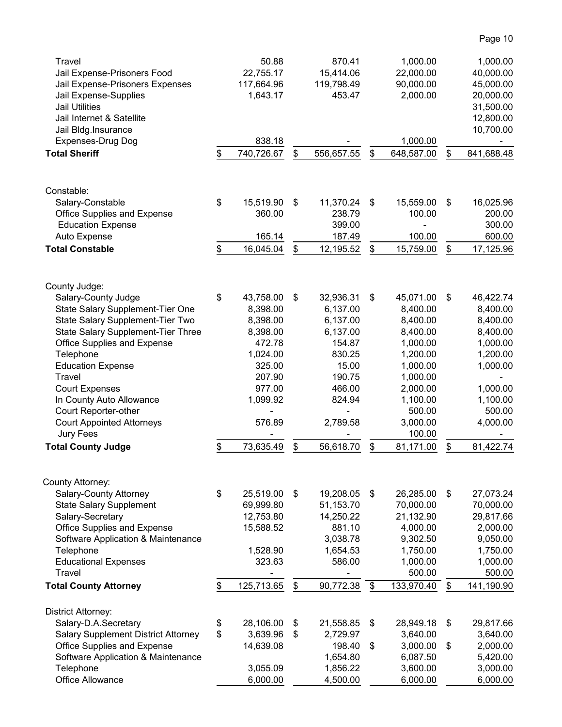| Travel                                     | 50.88            |                           | 870.41     |                           | 1,000.00   | 1,000.00         |
|--------------------------------------------|------------------|---------------------------|------------|---------------------------|------------|------------------|
| Jail Expense-Prisoners Food                | 22,755.17        |                           | 15,414.06  |                           | 22,000.00  | 40,000.00        |
| Jail Expense-Prisoners Expenses            | 117,664.96       |                           | 119,798.49 |                           | 90,000.00  | 45,000.00        |
| Jail Expense-Supplies                      | 1,643.17         |                           | 453.47     |                           | 2,000.00   | 20,000.00        |
| <b>Jail Utilities</b>                      |                  |                           |            |                           |            | 31,500.00        |
| Jail Internet & Satellite                  |                  |                           |            |                           |            | 12,800.00        |
| Jail Bldg.Insurance                        |                  |                           |            |                           |            | 10,700.00        |
| Expenses-Drug Dog                          | 838.18           |                           |            |                           | 1,000.00   |                  |
| <b>Total Sheriff</b>                       | \$<br>740,726.67 | \$                        | 556,657.55 | \$                        | 648,587.00 | \$<br>841,688.48 |
|                                            |                  |                           |            |                           |            |                  |
| Constable:                                 |                  |                           |            |                           |            |                  |
| Salary-Constable                           | \$<br>15,519.90  | \$                        | 11,370.24  | \$                        | 15,559.00  | \$<br>16,025.96  |
| Office Supplies and Expense                | 360.00           |                           | 238.79     |                           | 100.00     | 200.00           |
| <b>Education Expense</b>                   |                  |                           | 399.00     |                           |            | 300.00           |
| Auto Expense                               | 165.14           |                           | 187.49     |                           | 100.00     | 600.00           |
| <b>Total Constable</b>                     | \$<br>16,045.04  | \$                        | 12,195.52  | $\$\$                     | 15,759.00  | \$<br>17,125.96  |
|                                            |                  |                           |            |                           |            |                  |
| County Judge:                              |                  |                           |            |                           |            |                  |
| Salary-County Judge                        | \$<br>43,758.00  | \$                        | 32,936.31  | \$                        | 45,071.00  | \$<br>46,422.74  |
| State Salary Supplement-Tier One           | 8,398.00         |                           | 6,137.00   |                           | 8,400.00   | 8,400.00         |
| State Salary Supplement-Tier Two           | 8,398.00         |                           | 6,137.00   |                           | 8,400.00   | 8,400.00         |
| State Salary Supplement-Tier Three         | 8,398.00         |                           | 6,137.00   |                           | 8,400.00   | 8,400.00         |
| Office Supplies and Expense                | 472.78           |                           | 154.87     |                           | 1,000.00   | 1,000.00         |
| Telephone                                  | 1,024.00         |                           | 830.25     |                           | 1,200.00   | 1,200.00         |
| <b>Education Expense</b>                   | 325.00           |                           | 15.00      |                           | 1,000.00   | 1,000.00         |
| Travel                                     | 207.90           |                           | 190.75     |                           | 1,000.00   |                  |
| <b>Court Expenses</b>                      | 977.00           |                           | 466.00     |                           | 2,000.00   | 1,000.00         |
| In County Auto Allowance                   | 1,099.92         |                           | 824.94     |                           | 1,100.00   | 1,100.00         |
| Court Reporter-other                       |                  |                           |            |                           | 500.00     | 500.00           |
| <b>Court Appointed Attorneys</b>           | 576.89           |                           | 2,789.58   |                           | 3,000.00   | 4,000.00         |
| Jury Fees                                  |                  |                           |            |                           | 100.00     |                  |
| <b>Total County Judge</b>                  | \$<br>73,635.49  | \$                        | 56,618.70  | \$                        | 81,171.00  | \$<br>81,422.74  |
|                                            |                  |                           |            |                           |            |                  |
| County Attorney:                           |                  |                           |            |                           |            |                  |
| Salary-County Attorney                     | \$<br>25,519.00  | $\boldsymbol{\mathsf{s}}$ | 19,208.05  | $\boldsymbol{\mathsf{S}}$ | 26,285.00  | \$<br>27,073.24  |
| <b>State Salary Supplement</b>             | 69,999.80        |                           | 51,153.70  |                           | 70,000.00  | 70,000.00        |
| Salary-Secretary                           | 12,753.80        |                           | 14,250.22  |                           | 21,132.90  | 29,817.66        |
| Office Supplies and Expense                | 15,588.52        |                           | 881.10     |                           | 4,000.00   | 2,000.00         |
| Software Application & Maintenance         |                  |                           | 3,038.78   |                           | 9,302.50   | 9,050.00         |
| Telephone                                  | 1,528.90         |                           | 1,654.53   |                           | 1,750.00   | 1,750.00         |
| <b>Educational Expenses</b>                | 323.63           |                           | 586.00     |                           | 1,000.00   | 1,000.00         |
| Travel                                     |                  |                           |            |                           | 500.00     | 500.00           |
| <b>Total County Attorney</b>               | \$<br>125,713.65 | \$                        | 90,772.38  | \$                        | 133,970.40 | \$<br>141,190.90 |
| <b>District Attorney:</b>                  |                  |                           |            |                           |            |                  |
| Salary-D.A.Secretary                       | \$<br>28,106.00  | \$                        | 21,558.85  | $\$\$                     | 28,949.18  | \$<br>29,817.66  |
| <b>Salary Supplement District Attorney</b> | \$<br>3,639.96   | \$                        | 2,729.97   |                           | 3,640.00   | 3,640.00         |
| Office Supplies and Expense                | 14,639.08        |                           | 198.40     | $\$\$                     | 3,000.00   | \$<br>2,000.00   |
| Software Application & Maintenance         |                  |                           | 1,654.80   |                           | 6,087.50   | 5,420.00         |
| Telephone                                  | 3,055.09         |                           | 1,856.22   |                           | 3,600.00   | 3,000.00         |
| Office Allowance                           | 6,000.00         |                           | 4,500.00   |                           | 6,000.00   | 6,000.00         |

Page 10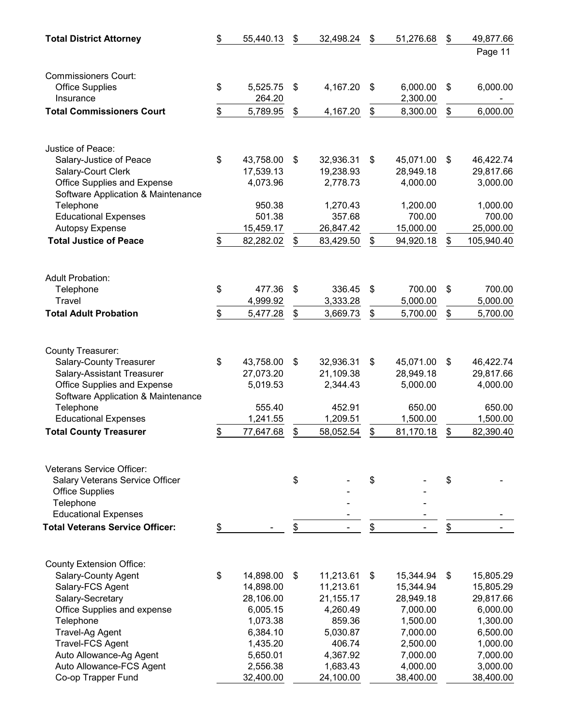| <b>Total District Attorney</b>                            | \$<br>55,440.13       | \$<br>32,498.24       | \$<br>51,276.68       | \$<br>49,877.66       |
|-----------------------------------------------------------|-----------------------|-----------------------|-----------------------|-----------------------|
|                                                           |                       |                       |                       | Page 11               |
| <b>Commissioners Court:</b>                               |                       |                       |                       |                       |
| <b>Office Supplies</b>                                    | \$<br>5,525.75        | \$<br>4,167.20        | \$<br>6,000.00        | \$<br>6,000.00        |
| Insurance                                                 | 264.20                |                       | 2,300.00              |                       |
| <b>Total Commissioners Court</b>                          | \$<br>5,789.95        | \$<br>4,167.20        | \$<br>8,300.00        | \$<br>6,000.00        |
|                                                           |                       |                       |                       |                       |
| Justice of Peace:                                         |                       |                       |                       |                       |
| Salary-Justice of Peace                                   | \$<br>43,758.00       | \$<br>32,936.31       | \$<br>45,071.00       | \$<br>46,422.74       |
| Salary-Court Clerk                                        | 17,539.13             | 19,238.93             | 28,949.18             | 29,817.66             |
| Office Supplies and Expense                               | 4,073.96              | 2,778.73              | 4,000.00              | 3,000.00              |
| Software Application & Maintenance                        |                       |                       |                       |                       |
| Telephone                                                 | 950.38                | 1,270.43              | 1,200.00              | 1,000.00              |
| <b>Educational Expenses</b>                               | 501.38                | 357.68                | 700.00                | 700.00                |
| <b>Autopsy Expense</b>                                    | 15,459.17             | 26,847.42             | 15,000.00             | 25,000.00             |
| <b>Total Justice of Peace</b>                             | \$<br>82,282.02       | \$<br>83,429.50       | \$<br>94,920.18       | \$<br>105,940.40      |
|                                                           |                       |                       |                       |                       |
| <b>Adult Probation:</b>                                   |                       |                       |                       |                       |
| Telephone                                                 | \$<br>477.36          | \$<br>336.45          | \$<br>700.00          | \$<br>700.00          |
| Travel                                                    | 4,999.92              | 3,333.28              | 5,000.00              | 5,000.00              |
| <b>Total Adult Probation</b>                              | \$<br>5,477.28        | \$<br>3,669.73        | \$<br>5,700.00        | \$<br>5,700.00        |
| County Treasurer:                                         |                       |                       |                       |                       |
| <b>Salary-County Treasurer</b>                            | \$<br>43,758.00       | \$<br>32,936.31       | \$<br>45,071.00       | \$<br>46,422.74       |
| <b>Salary-Assistant Treasurer</b>                         | 27,073.20             | 21,109.38             | 28,949.18             | 29,817.66             |
| Office Supplies and Expense                               | 5,019.53              | 2,344.43              | 5,000.00              | 4,000.00              |
| Software Application & Maintenance                        |                       |                       |                       |                       |
| Telephone                                                 | 555.40                | 452.91                | 650.00                | 650.00                |
| <b>Educational Expenses</b>                               | 1,241.55              | 1,209.51              | 1,500.00              | 1,500.00              |
| <b>Total County Treasurer</b>                             | \$<br>77,647.68       | \$<br>58,052.54       | \$<br>81,170.18       | \$<br>82,390.40       |
|                                                           |                       |                       |                       |                       |
| <b>Veterans Service Officer:</b>                          |                       |                       |                       |                       |
| Salary Veterans Service Officer<br><b>Office Supplies</b> |                       | \$                    | \$                    | \$                    |
| Telephone                                                 |                       |                       |                       |                       |
| <b>Educational Expenses</b>                               |                       |                       |                       |                       |
| <b>Total Veterans Service Officer:</b>                    | \$                    | \$                    | \$                    | \$                    |
|                                                           |                       |                       |                       |                       |
| <b>County Extension Office:</b>                           |                       |                       |                       |                       |
| Salary-County Agent                                       | \$<br>14,898.00       | \$<br>11,213.61       | \$<br>15,344.94       | \$<br>15,805.29       |
| Salary-FCS Agent                                          | 14,898.00             | 11,213.61             | 15,344.94             | 15,805.29             |
| Salary-Secretary                                          | 28,106.00             | 21,155.17             | 28,949.18             | 29,817.66             |
| Office Supplies and expense                               | 6,005.15              | 4,260.49              | 7,000.00              | 6,000.00              |
| Telephone                                                 | 1,073.38              | 859.36                | 1,500.00              | 1,300.00              |
| Travel-Ag Agent                                           | 6,384.10              | 5,030.87              | 7,000.00              | 6,500.00              |
| <b>Travel-FCS Agent</b>                                   | 1,435.20              | 406.74                | 2,500.00              | 1,000.00              |
| Auto Allowance-Ag Agent                                   | 5,650.01              | 4,367.92              | 7,000.00              | 7,000.00              |
| Auto Allowance-FCS Agent<br>Co-op Trapper Fund            | 2,556.38<br>32,400.00 | 1,683.43<br>24,100.00 | 4,000.00<br>38,400.00 | 3,000.00<br>38,400.00 |
|                                                           |                       |                       |                       |                       |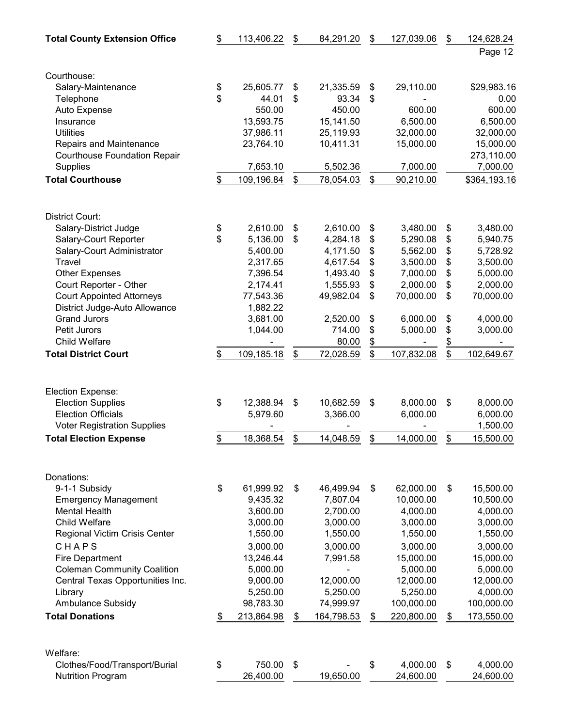| <b>Total County Extension Office</b> | \$<br>113,406.22 | \$            | 84,291.20                | \$<br>127,039.06 | \$            | 124,628.24   |
|--------------------------------------|------------------|---------------|--------------------------|------------------|---------------|--------------|
|                                      |                  |               |                          |                  |               | Page 12      |
|                                      |                  |               |                          |                  |               |              |
| Courthouse:<br>Salary-Maintenance    | \$<br>25,605.77  | \$            | 21,335.59                | \$<br>29,110.00  |               | \$29,983.16  |
| Telephone                            | \$<br>44.01      | \$            | 93.34                    | \$               |               | 0.00         |
| Auto Expense                         | 550.00           |               | 450.00                   | 600.00           |               | 600.00       |
| Insurance                            | 13,593.75        |               | 15,141.50                | 6,500.00         |               | 6,500.00     |
| <b>Utilities</b>                     | 37,986.11        |               | 25,119.93                | 32,000.00        |               | 32,000.00    |
| Repairs and Maintenance              | 23,764.10        |               | 10,411.31                | 15,000.00        |               | 15,000.00    |
| Courthouse Foundation Repair         |                  |               |                          |                  |               | 273,110.00   |
| <b>Supplies</b>                      | 7,653.10         |               | 5,502.36                 | 7,000.00         |               | 7,000.00     |
| <b>Total Courthouse</b>              | \$<br>109,196.84 | \$            | 78,054.03                | \$<br>90,210.00  |               | \$364,193.16 |
| District Court:                      |                  |               |                          |                  |               |              |
| Salary-District Judge                | \$<br>2,610.00   | \$            | 2,610.00                 | \$<br>3,480.00   | \$            | 3,480.00     |
| Salary-Court Reporter                | \$<br>5,136.00   | \$            | 4,284.18                 | \$<br>5,290.08   | \$            | 5,940.75     |
| Salary-Court Administrator           | 5,400.00         |               | 4,171.50                 | \$<br>5,562.00   | \$            | 5,728.92     |
| Travel                               | 2,317.65         |               | 4,617.54                 | \$<br>3,500.00   | \$            | 3,500.00     |
| <b>Other Expenses</b>                | 7,396.54         |               | 1,493.40                 | \$<br>7,000.00   | \$            | 5,000.00     |
| Court Reporter - Other               | 2,174.41         |               | 1,555.93                 | \$<br>2,000.00   | \$            | 2,000.00     |
| <b>Court Appointed Attorneys</b>     | 77,543.36        |               | 49,982.04                | \$<br>70,000.00  | \$            | 70,000.00    |
| District Judge-Auto Allowance        | 1,882.22         |               |                          |                  |               |              |
| <b>Grand Jurors</b>                  | 3,681.00         |               | 2,520.00                 | \$<br>6,000.00   | \$            | 4,000.00     |
| Petit Jurors                         | 1,044.00         |               | 714.00                   | \$<br>5,000.00   | \$            | 3,000.00     |
| Child Welfare                        |                  |               | 80.00                    | \$               | $\frac{1}{2}$ |              |
| <b>Total District Court</b>          | \$<br>109,185.18 | \$            | 72,028.59                | \$<br>107,832.08 | \$            | 102,649.67   |
| Election Expense:                    |                  |               |                          |                  |               |              |
| <b>Election Supplies</b>             | \$<br>12,388.94  | \$            | 10,682.59                | \$<br>8,000.00   | \$            | 8,000.00     |
| <b>Election Officials</b>            | 5,979.60         |               | 3,366.00                 | 6,000.00         |               | 6,000.00     |
| <b>Voter Registration Supplies</b>   |                  |               |                          |                  |               | 1,500.00     |
| <b>Total Election Expense</b>        | \$<br>18,368.54  | \$            | 14,048.59                | \$<br>14,000.00  | \$            | 15,500.00    |
| Donations:                           |                  |               |                          |                  |               |              |
| 9-1-1 Subsidy                        | \$<br>61,999.92  | \$            | 46,499.94                | \$<br>62,000.00  | \$            | 15,500.00    |
| <b>Emergency Management</b>          | 9,435.32         |               | 7,807.04                 | 10,000.00        |               | 10,500.00    |
| <b>Mental Health</b>                 | 3,600.00         |               | 2,700.00                 | 4,000.00         |               | 4,000.00     |
| <b>Child Welfare</b>                 | 3,000.00         |               | 3,000.00                 | 3,000.00         |               | 3,000.00     |
| Regional Victim Crisis Center        | 1,550.00         |               | 1,550.00                 | 1,550.00         |               | 1,550.00     |
| CHAPS                                | 3,000.00         |               | 3,000.00                 | 3,000.00         |               | 3,000.00     |
| <b>Fire Department</b>               | 13,246.44        |               | 7,991.58                 | 15,000.00        |               | 15,000.00    |
| <b>Coleman Community Coalition</b>   | 5,000.00         |               | $\overline{\phantom{a}}$ | 5,000.00         |               | 5,000.00     |
| Central Texas Opportunities Inc.     | 9,000.00         |               | 12,000.00                | 12,000.00        |               | 12,000.00    |
| Library                              | 5,250.00         |               | 5,250.00                 | 5,250.00         |               | 4,000.00     |
| Ambulance Subsidy                    | 98,783.30        |               | 74,999.97                | 100,000.00       |               | 100,000.00   |
| <b>Total Donations</b>               | \$<br>213,864.98 | $\frac{1}{2}$ | 164,798.53               | \$<br>220,800.00 | \$            | 173,550.00   |
| Welfare:                             |                  |               |                          |                  |               |              |
| Clothes/Food/Transport/Burial        | \$<br>750.00     | \$            |                          | \$<br>4,000.00   | \$            | 4,000.00     |
| <b>Nutrition Program</b>             | 26,400.00        |               | 19,650.00                | 24,600.00        |               | 24,600.00    |
|                                      |                  |               |                          |                  |               |              |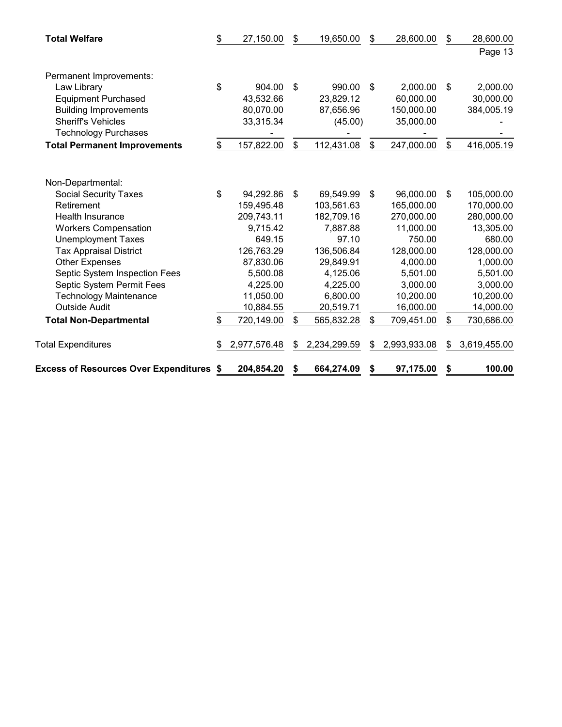| <b>Total Welfare</b>                            | \$<br>27,150.00    | \$<br>19,650.00    | \$             | 28,600.00    | \$<br>28,600.00    |
|-------------------------------------------------|--------------------|--------------------|----------------|--------------|--------------------|
|                                                 |                    |                    |                |              | Page 13            |
| Permanent Improvements:                         |                    |                    |                |              |                    |
| Law Library                                     | \$<br>904.00       | \$<br>990.00       | \$             | 2,000.00     | \$<br>2,000.00     |
| <b>Equipment Purchased</b>                      | 43,532.66          | 23,829.12          |                | 60,000.00    | 30,000.00          |
| <b>Building Improvements</b>                    | 80,070.00          | 87,656.96          |                | 150,000.00   | 384,005.19         |
| <b>Sheriff's Vehicles</b>                       | 33,315.34          | (45.00)            |                | 35,000.00    |                    |
| <b>Technology Purchases</b>                     |                    |                    |                |              |                    |
| <b>Total Permanent Improvements</b>             | \$<br>157,822.00   | \$<br>112,431.08   | $\mathfrak{S}$ | 247,000.00   | \$<br>416,005.19   |
|                                                 |                    |                    |                |              |                    |
| Non-Departmental:                               |                    |                    |                |              |                    |
| <b>Social Security Taxes</b>                    | \$<br>94,292.86    | \$<br>69,549.99    | \$             | 96,000.00    | \$<br>105,000.00   |
| Retirement                                      | 159,495.48         | 103,561.63         |                | 165,000.00   | 170,000.00         |
| <b>Health Insurance</b>                         | 209,743.11         | 182,709.16         |                | 270,000.00   | 280,000.00         |
| <b>Workers Compensation</b>                     | 9,715.42           | 7,887.88           |                | 11,000.00    | 13,305.00          |
| <b>Unemployment Taxes</b>                       | 649.15             | 97.10              |                | 750.00       | 680.00             |
| <b>Tax Appraisal District</b>                   | 126,763.29         | 136,506.84         |                | 128,000.00   | 128,000.00         |
| <b>Other Expenses</b>                           | 87,830.06          | 29,849.91          |                | 4,000.00     | 1,000.00           |
| Septic System Inspection Fees                   | 5,500.08           | 4,125.06           |                | 5,501.00     | 5,501.00           |
| Septic System Permit Fees                       | 4,225.00           | 4,225.00           |                | 3,000.00     | 3,000.00           |
| <b>Technology Maintenance</b>                   | 11,050.00          | 6,800.00           |                | 10,200.00    | 10,200.00          |
| <b>Outside Audit</b>                            | 10,884.55          | 20,519.71          |                | 16,000.00    | 14,000.00          |
| <b>Total Non-Departmental</b>                   | \$<br>720,149.00   | \$<br>565,832.28   | \$             | 709,451.00   | \$<br>730,686.00   |
| <b>Total Expenditures</b>                       | \$<br>2,977,576.48 | \$<br>2,234,299.59 | \$             | 2,993,933.08 | \$<br>3,619,455.00 |
| <b>Excess of Resources Over Expenditures \$</b> | 204,854.20         | \$<br>664,274.09   | \$             | 97,175.00    | \$<br>100.00       |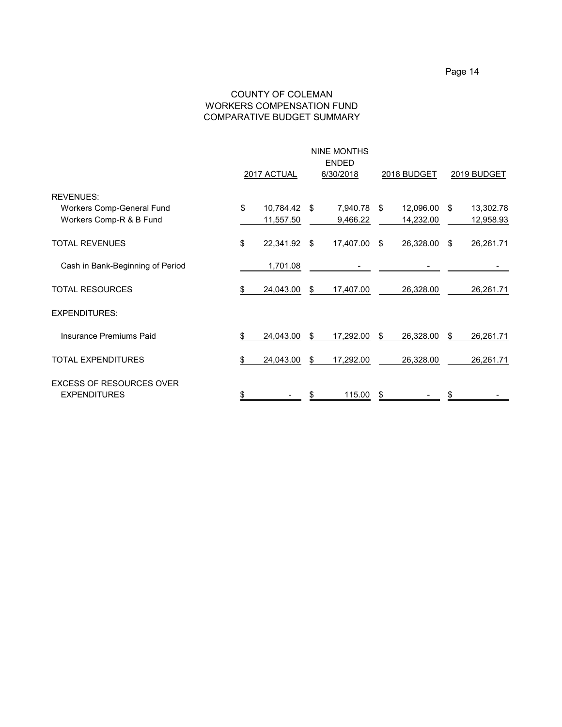#### COUNTY OF COLEMAN WORKERS COMPENSATION FUND COMPARATIVE BUDGET SUMMARY

|                                                                          | <b>NINE MONTHS</b><br><b>ENDED</b><br>2017 ACTUAL<br>6/30/2018 |                        |      |                      |      | <b>2018 BUDGET</b>     | 2019 BUDGET |                        |  |
|--------------------------------------------------------------------------|----------------------------------------------------------------|------------------------|------|----------------------|------|------------------------|-------------|------------------------|--|
| <b>REVENUES:</b><br>Workers Comp-General Fund<br>Workers Comp-R & B Fund | \$                                                             | 10,784.42<br>11,557.50 | - \$ | 7,940.78<br>9,466.22 | - \$ | 12,096.00<br>14,232.00 | - \$        | 13,302.78<br>12,958.93 |  |
| <b>TOTAL REVENUES</b>                                                    | \$                                                             | 22,341.92              | - \$ | 17,407.00 \$         |      | 26,328.00              | - \$        | 26,261.71              |  |
| Cash in Bank-Beginning of Period                                         |                                                                | 1,701.08               |      |                      |      |                        |             |                        |  |
| <b>TOTAL RESOURCES</b>                                                   | \$                                                             | 24,043.00              | \$   | 17,407.00            |      | 26,328.00              |             | 26,261.71              |  |
| <b>EXPENDITURES:</b>                                                     |                                                                |                        |      |                      |      |                        |             |                        |  |
| <b>Insurance Premiums Paid</b>                                           | \$                                                             | 24,043.00              | \$   | 17,292.00            | \$   | 26,328.00              | \$          | 26,261.71              |  |
| <b>TOTAL EXPENDITURES</b>                                                | \$                                                             | 24,043.00              | \$   | 17,292.00            |      | 26,328.00              |             | 26,261.71              |  |
| <b>EXCESS OF RESOURCES OVER</b><br><b>EXPENDITURES</b>                   |                                                                |                        |      | 115.00               | \$   |                        |             |                        |  |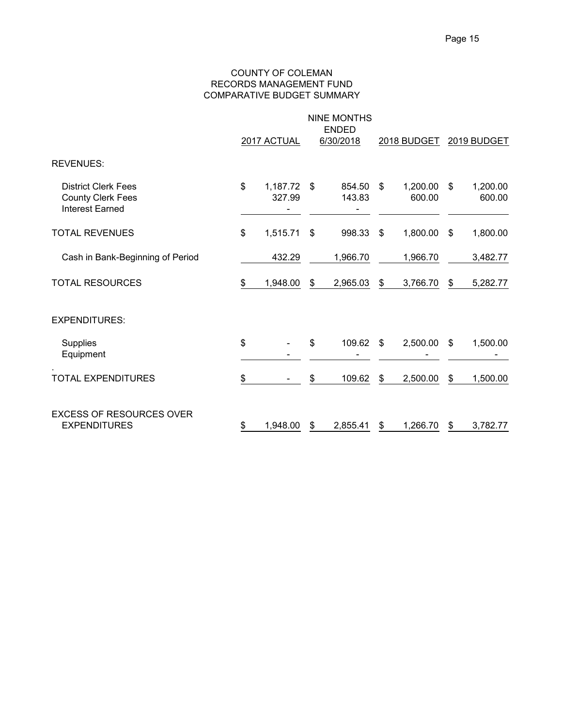#### COUNTY OF COLEMAN RECORDS MANAGEMENT FUND COMPARATIVE BUDGET SUMMARY

|                                                                                  | NINE MONTHS<br><b>ENDED</b><br>2017 ACTUAL<br>6/30/2018<br>2018 BUDGET |                    |    |                  |    |                    | 2019 BUDGET |                    |  |
|----------------------------------------------------------------------------------|------------------------------------------------------------------------|--------------------|----|------------------|----|--------------------|-------------|--------------------|--|
| <b>REVENUES:</b>                                                                 |                                                                        |                    |    |                  |    |                    |             |                    |  |
| <b>District Clerk Fees</b><br><b>County Clerk Fees</b><br><b>Interest Earned</b> | \$                                                                     | 1,187.72<br>327.99 | \$ | 854.50<br>143.83 | \$ | 1,200.00<br>600.00 | \$          | 1,200.00<br>600.00 |  |
| <b>TOTAL REVENUES</b>                                                            | \$                                                                     | 1,515.71           | \$ | 998.33           | \$ | 1,800.00           | \$          | 1,800.00           |  |
| Cash in Bank-Beginning of Period                                                 |                                                                        | 432.29             |    | 1,966.70         |    | 1,966.70           |             | 3,482.77           |  |
| <b>TOTAL RESOURCES</b>                                                           | \$                                                                     | 1,948.00           | \$ | 2,965.03         | \$ | 3,766.70           | \$          | 5,282.77           |  |
| <b>EXPENDITURES:</b>                                                             |                                                                        |                    |    |                  |    |                    |             |                    |  |
| Supplies<br>Equipment                                                            | \$                                                                     |                    | \$ | 109.62           | \$ | 2,500.00           | \$          | 1,500.00           |  |
| <b>TOTAL EXPENDITURES</b>                                                        | \$                                                                     |                    | \$ | 109.62           | \$ | 2,500.00           | \$          | 1,500.00           |  |
| <b>EXCESS OF RESOURCES OVER</b><br><b>EXPENDITURES</b>                           | \$                                                                     | 1,948.00           | \$ | 2,855.41         | \$ | 1,266.70           | \$          | 3,782.77           |  |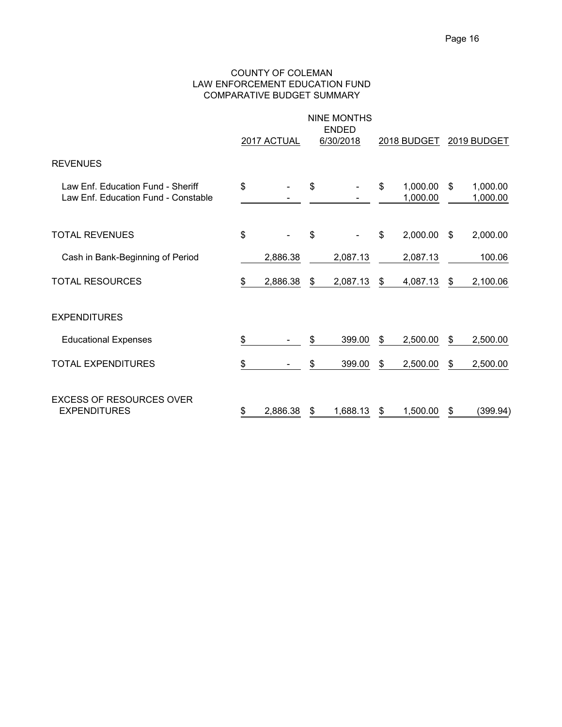#### COUNTY OF COLEMAN LAW ENFORCEMENT EDUCATION FUND COMPARATIVE BUDGET SUMMARY

|                                                                          |    | 2017 ACTUAL | <b>NINE MONTHS</b><br><b>ENDED</b><br>6/30/2018 |    | <b>2018 BUDGET</b>   | 2019 BUDGET |                      |  |
|--------------------------------------------------------------------------|----|-------------|-------------------------------------------------|----|----------------------|-------------|----------------------|--|
| <b>REVENUES</b>                                                          |    |             |                                                 |    |                      |             |                      |  |
| Law Enf. Education Fund - Sheriff<br>Law Enf. Education Fund - Constable | \$ |             | \$                                              | \$ | 1,000.00<br>1,000.00 | \$          | 1,000.00<br>1,000.00 |  |
| <b>TOTAL REVENUES</b>                                                    | \$ |             | \$                                              | \$ | 2,000.00             | \$          | 2,000.00             |  |
| Cash in Bank-Beginning of Period                                         |    | 2,886.38    | 2,087.13                                        |    | 2,087.13             |             | 100.06               |  |
| <b>TOTAL RESOURCES</b>                                                   | \$ | 2,886.38    | \$<br>2,087.13                                  | \$ | 4,087.13             | \$          | 2,100.06             |  |
| <b>EXPENDITURES</b>                                                      |    |             |                                                 |    |                      |             |                      |  |
| <b>Educational Expenses</b>                                              | \$ |             | \$<br>399.00                                    | \$ | 2,500.00             | S           | 2,500.00             |  |
| TOTAL EXPENDITURES                                                       | \$ |             | \$<br>399.00                                    | \$ | 2,500.00             | \$          | 2,500.00             |  |
| <b>EXCESS OF RESOURCES OVER</b><br><b>EXPENDITURES</b>                   | S  | 2.886.38    | \$<br>1,688.13                                  | S  | 1,500.00             | S           | (399.94)             |  |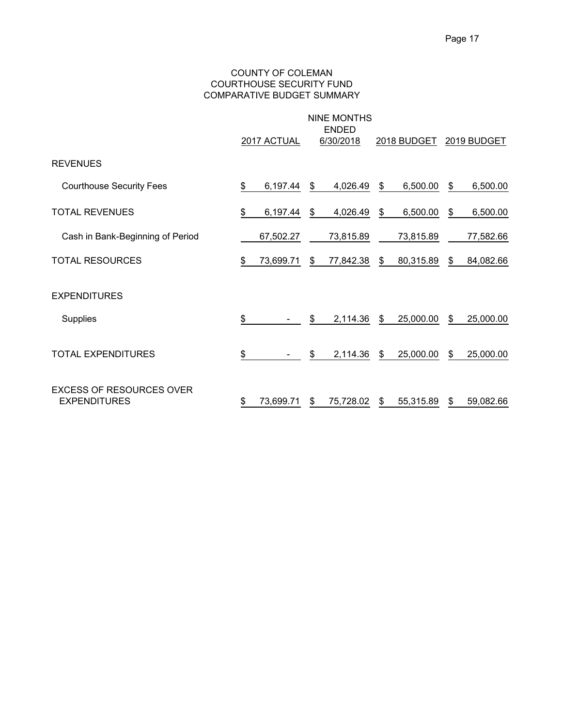#### COUNTY OF COLEMAN COURTHOUSE SECURITY FUND COMPARATIVE BUDGET SUMMARY

|                                                        | <b>NINE MONTHS</b><br><b>ENDED</b> |             |    |           |    |             |    |             |  |  |
|--------------------------------------------------------|------------------------------------|-------------|----|-----------|----|-------------|----|-------------|--|--|
|                                                        |                                    | 2017 ACTUAL |    | 6/30/2018 |    | 2018 BUDGET |    | 2019 BUDGET |  |  |
| <b>REVENUES</b>                                        |                                    |             |    |           |    |             |    |             |  |  |
| <b>Courthouse Security Fees</b>                        | \$                                 | 6,197.44    | \$ | 4,026.49  | \$ | 6,500.00    | \$ | 6,500.00    |  |  |
| <b>TOTAL REVENUES</b>                                  | \$                                 | 6,197.44    | \$ | 4,026.49  | \$ | 6,500.00    | \$ | 6,500.00    |  |  |
| Cash in Bank-Beginning of Period                       |                                    | 67,502.27   |    | 73,815.89 |    | 73,815.89   |    | 77,582.66   |  |  |
| <b>TOTAL RESOURCES</b>                                 | \$                                 | 73,699.71   | \$ | 77,842.38 | \$ | 80,315.89   | \$ | 84,082.66   |  |  |
| <b>EXPENDITURES</b>                                    |                                    |             |    |           |    |             |    |             |  |  |
| Supplies                                               | \$                                 |             | \$ | 2,114.36  | \$ | 25,000.00   | \$ | 25,000.00   |  |  |
| <b>TOTAL EXPENDITURES</b>                              | \$                                 |             | \$ | 2,114.36  | \$ | 25,000.00   | \$ | 25,000.00   |  |  |
| <b>EXCESS OF RESOURCES OVER</b><br><b>EXPENDITURES</b> | \$                                 | 73,699.71   | S  | 75,728.02 | \$ | 55,315.89   | \$ | 59,082.66   |  |  |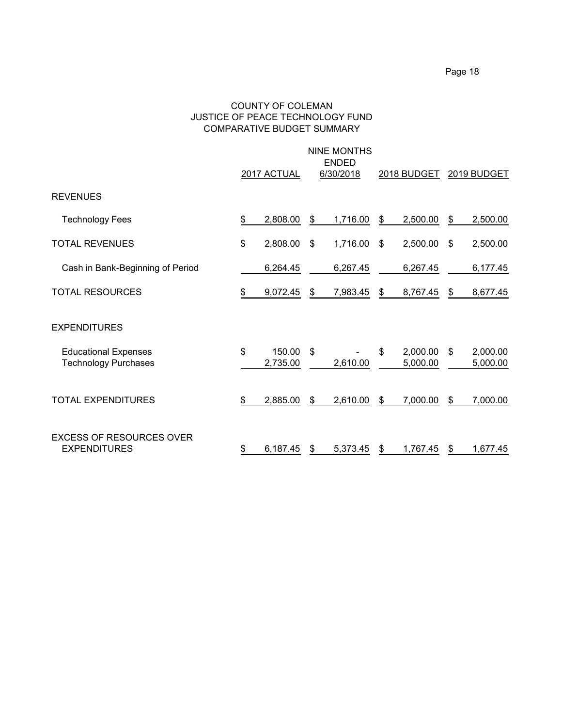#### COUNTY OF COLEMAN JUSTICE OF PEACE TECHNOLOGY FUND COMPARATIVE BUDGET SUMMARY

|                                                            | <b>NINE MONTHS</b><br><b>ENDED</b> |                    |    |           |    |                      |    |                      |  |
|------------------------------------------------------------|------------------------------------|--------------------|----|-----------|----|----------------------|----|----------------------|--|
|                                                            |                                    | 2017 ACTUAL        |    | 6/30/2018 |    | 2018 BUDGET          |    | 2019 BUDGET          |  |
| <b>REVENUES</b>                                            |                                    |                    |    |           |    |                      |    |                      |  |
| <b>Technology Fees</b>                                     | \$                                 | 2,808.00           | \$ | 1,716.00  | \$ | 2,500.00             | \$ | 2,500.00             |  |
| <b>TOTAL REVENUES</b>                                      | \$                                 | 2,808.00           | \$ | 1,716.00  | \$ | 2,500.00             | \$ | 2,500.00             |  |
| Cash in Bank-Beginning of Period                           |                                    | 6,264.45           |    | 6,267.45  |    | 6,267.45             |    | 6,177.45             |  |
| <b>TOTAL RESOURCES</b>                                     | \$                                 | 9,072.45           | \$ | 7,983.45  | \$ | 8,767.45             | \$ | 8,677.45             |  |
| <b>EXPENDITURES</b>                                        |                                    |                    |    |           |    |                      |    |                      |  |
| <b>Educational Expenses</b><br><b>Technology Purchases</b> | \$                                 | 150.00<br>2,735.00 | \$ | 2,610.00  | \$ | 2,000.00<br>5,000.00 | \$ | 2,000.00<br>5,000.00 |  |
| <b>TOTAL EXPENDITURES</b>                                  | \$                                 | 2,885.00           | \$ | 2,610.00  | \$ | 7,000.00             | \$ | 7,000.00             |  |
| <b>EXCESS OF RESOURCES OVER</b><br><b>EXPENDITURES</b>     | \$                                 | 6,187.45           | \$ | 5,373.45  | \$ | 1,767.45             | \$ | 1,677.45             |  |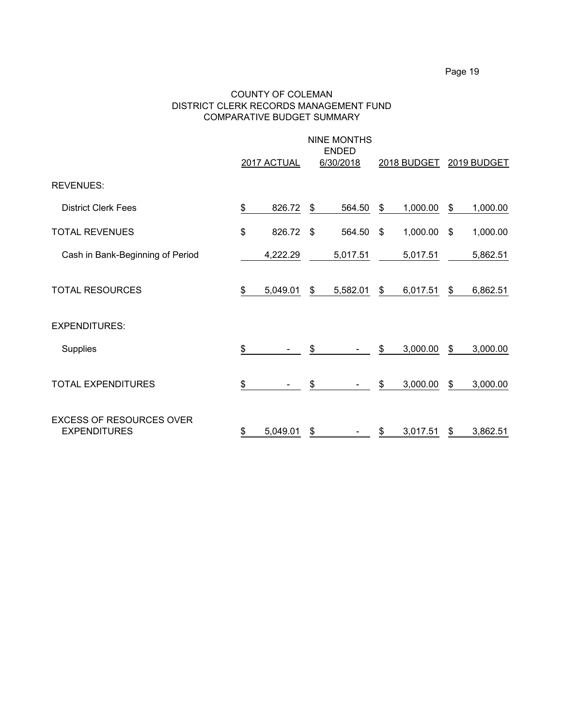#### COUNTY OF COLEMAN DISTRICT CLERK RECORDS MANAGEMENT FUND COMPARATIVE BUDGET SUMMARY

|                                                        | 2017 ACTUAL    | <b>NINE MONTHS</b><br><b>ENDED</b><br>6/30/2018 |    | 2018 BUDGET |    | 2019 BUDGET |
|--------------------------------------------------------|----------------|-------------------------------------------------|----|-------------|----|-------------|
| <b>REVENUES:</b>                                       |                |                                                 |    |             |    |             |
| <b>District Clerk Fees</b>                             | \$<br>826.72   | \$<br>564.50                                    | \$ | 1,000.00    | \$ | 1,000.00    |
| <b>TOTAL REVENUES</b>                                  | \$<br>826.72   | \$<br>564.50                                    | \$ | 1,000.00    | \$ | 1,000.00    |
| Cash in Bank-Beginning of Period                       | 4,222.29       | 5,017.51                                        |    | 5,017.51    |    | 5,862.51    |
| <b>TOTAL RESOURCES</b>                                 | \$<br>5,049.01 | \$<br>5,582.01                                  | \$ | 6,017.51    | \$ | 6,862.51    |
| <b>EXPENDITURES:</b>                                   |                |                                                 |    |             |    |             |
| Supplies                                               | \$             | \$                                              | \$ | 3,000.00    | \$ | 3,000.00    |
| <b>TOTAL EXPENDITURES</b>                              | \$             | \$                                              | \$ | 3,000.00    | \$ | 3,000.00    |
| <b>EXCESS OF RESOURCES OVER</b><br><b>EXPENDITURES</b> | \$<br>5,049.01 | \$                                              | S  | 3,017.51    | S  | 3,862.51    |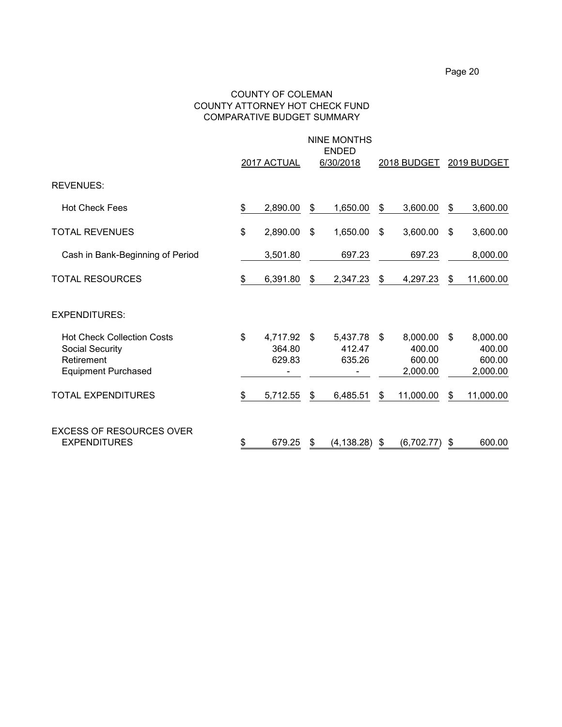#### COUNTY OF COLEMAN COUNTY ATTORNEY HOT CHECK FUND COMPARATIVE BUDGET SUMMARY

|                                                                                                         | 2017 ACTUAL                        | <b>NINE MONTHS</b><br><b>ENDED</b><br>6/30/2018 | 2018 BUDGET                                    | 2019 BUDGET                                    |
|---------------------------------------------------------------------------------------------------------|------------------------------------|-------------------------------------------------|------------------------------------------------|------------------------------------------------|
| <b>REVENUES:</b>                                                                                        |                                    |                                                 |                                                |                                                |
| <b>Hot Check Fees</b>                                                                                   | \$<br>2,890.00                     | \$<br>1,650.00                                  | \$<br>3,600.00                                 | \$<br>3,600.00                                 |
| <b>TOTAL REVENUES</b>                                                                                   | \$<br>2,890.00                     | \$<br>1,650.00                                  | \$<br>3,600.00                                 | \$<br>3,600.00                                 |
| Cash in Bank-Beginning of Period                                                                        | 3,501.80                           | 697.23                                          | 697.23                                         | 8,000.00                                       |
| <b>TOTAL RESOURCES</b>                                                                                  | \$<br>6,391.80                     | \$<br>2,347.23                                  | \$<br>4,297.23                                 | \$<br>11,600.00                                |
| <b>EXPENDITURES:</b>                                                                                    |                                    |                                                 |                                                |                                                |
| <b>Hot Check Collection Costs</b><br><b>Social Security</b><br>Retirement<br><b>Equipment Purchased</b> | \$<br>4,717.92<br>364.80<br>629.83 | \$<br>5,437.78<br>412.47<br>635.26              | \$<br>8,000.00<br>400.00<br>600.00<br>2,000.00 | \$<br>8,000.00<br>400.00<br>600.00<br>2,000.00 |
| <b>TOTAL EXPENDITURES</b>                                                                               | \$<br>5,712.55                     | \$<br>6,485.51                                  | \$<br>11,000.00                                | \$<br>11,000.00                                |
| <b>EXCESS OF RESOURCES OVER</b><br><b>EXPENDITURES</b>                                                  | \$<br>679.25                       | \$<br>(4, 138.28)                               | \$<br>(6,702.77)                               | \$<br>600.00                                   |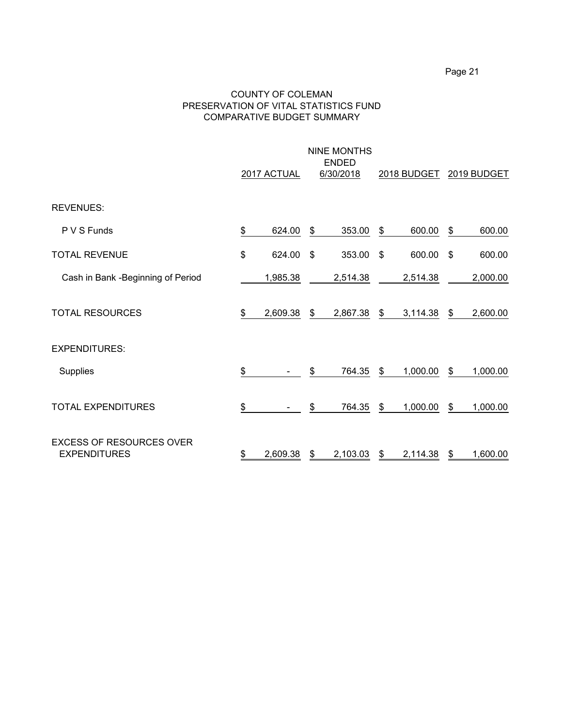#### COUNTY OF COLEMAN PRESERVATION OF VITAL STATISTICS FUND COMPARATIVE BUDGET SUMMARY

|                                                        | 2017 ACTUAL    | <b>NINE MONTHS</b><br><b>ENDED</b><br>6/30/2018<br>2018 BUDGET |          |                |          |    | 2019 BUDGET |  |  |
|--------------------------------------------------------|----------------|----------------------------------------------------------------|----------|----------------|----------|----|-------------|--|--|
| <b>REVENUES:</b>                                       |                |                                                                |          |                |          |    |             |  |  |
| P V S Funds                                            | \$<br>624.00   | \$                                                             | 353.00   | \$             | 600.00   | \$ | 600.00      |  |  |
| <b>TOTAL REVENUE</b>                                   | \$<br>624.00   | \$                                                             | 353.00   | $\mathfrak{S}$ | 600.00   | \$ | 600.00      |  |  |
| Cash in Bank - Beginning of Period                     | 1,985.38       |                                                                | 2,514.38 |                | 2,514.38 |    | 2,000.00    |  |  |
| <b>TOTAL RESOURCES</b>                                 | \$<br>2,609.38 | \$                                                             | 2,867.38 | $\$\$          | 3,114.38 | \$ | 2,600.00    |  |  |
| <b>EXPENDITURES:</b>                                   |                |                                                                |          |                |          |    |             |  |  |
| Supplies                                               | \$             | \$                                                             | 764.35   | $\mathfrak{S}$ | 1,000.00 | \$ | 1,000.00    |  |  |
| <b>TOTAL EXPENDITURES</b>                              | \$             | \$                                                             | 764.35   | \$             | 1,000.00 | \$ | 1,000.00    |  |  |
| <b>EXCESS OF RESOURCES OVER</b><br><b>EXPENDITURES</b> | \$<br>2,609.38 | \$                                                             | 2,103.03 | \$             | 2,114.38 | \$ | 1,600.00    |  |  |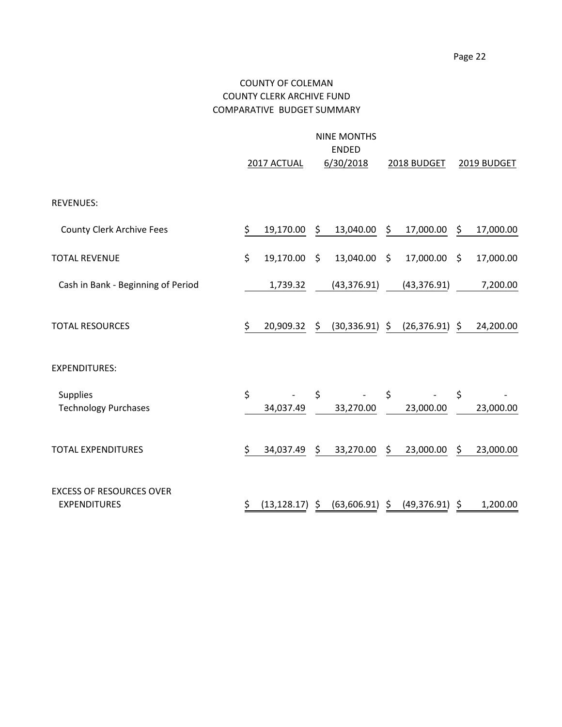## COUNTY OF COLEMAN COUNTY CLERK ARCHIVE FUND COMPARATIVE BUDGET SUMMARY

|                                                        | 2017 ACTUAL        | <b>NINE MONTHS</b><br><b>ENDED</b><br>6/30/2018 |                    | 2018 BUDGET  |                    | 2019 BUDGET |
|--------------------------------------------------------|--------------------|-------------------------------------------------|--------------------|--------------|--------------------|-------------|
| <b>REVENUES:</b>                                       |                    |                                                 |                    |              |                    |             |
| <b>County Clerk Archive Fees</b>                       | \$<br>19,170.00    | \$<br>13,040.00                                 | \$                 | 17,000.00    | \$                 | 17,000.00   |
| <b>TOTAL REVENUE</b>                                   | \$<br>19,170.00    | \$<br>13,040.00                                 | $\ddot{\varsigma}$ | 17,000.00    | -\$                | 17,000.00   |
| Cash in Bank - Beginning of Period                     | 1,739.32           | (43, 376.91)                                    |                    | (43, 376.91) |                    | 7,200.00    |
| <b>TOTAL RESOURCES</b>                                 | \$<br>20,909.32    | \$<br>$(30,336.91)$ \$                          |                    | (26, 376.91) | $\ddot{\varsigma}$ | 24,200.00   |
| <b>EXPENDITURES:</b>                                   |                    |                                                 |                    |              |                    |             |
| <b>Supplies</b><br><b>Technology Purchases</b>         | \$<br>34,037.49    | \$<br>33,270.00                                 | \$                 | 23,000.00    | \$                 | 23,000.00   |
| <b>TOTAL EXPENDITURES</b>                              | \$<br>34,037.49    | \$<br>33,270.00                                 | \$                 | 23,000.00    | \$                 | 23,000.00   |
| <b>EXCESS OF RESOURCES OVER</b><br><b>EXPENDITURES</b> | \$<br>(13, 128.17) | \$<br>(63,606.91)                               | \$                 | (49, 376.91) | \$                 | 1,200.00    |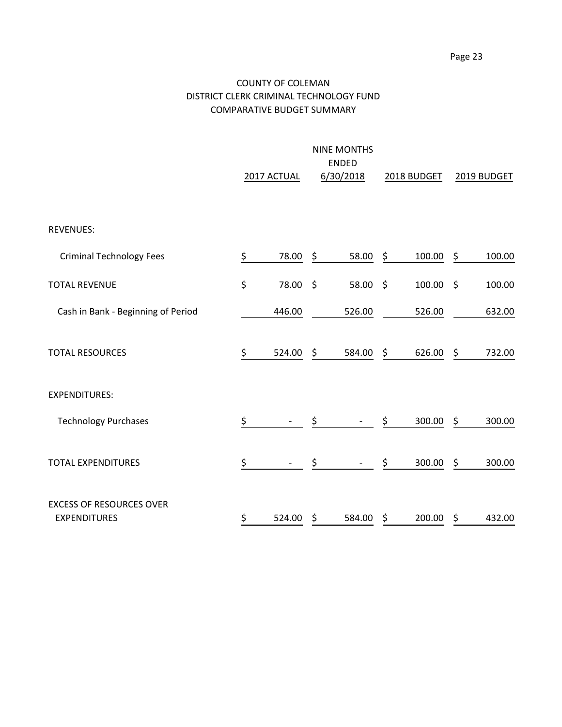## COUNTY OF COLEMAN DISTRICT CLERK CRIMINAL TECHNOLOGY FUND COMPARATIVE BUDGET SUMMARY

|                                                        | 2017 ACTUAL |          | 6/30/2018    | 2018 BUDGET |        | 2019 BUDGET |        |
|--------------------------------------------------------|-------------|----------|--------------|-------------|--------|-------------|--------|
|                                                        |             |          |              |             |        |             |        |
| <b>REVENUES:</b>                                       |             |          |              |             |        |             |        |
| <b>Criminal Technology Fees</b>                        | \$          | 78.00    | \$<br>58.00  | \$          | 100.00 | \$          | 100.00 |
| <b>TOTAL REVENUE</b>                                   | \$          | 78.00 \$ | 58.00 \$     |             | 100.00 | -\$         | 100.00 |
| Cash in Bank - Beginning of Period                     |             | 446.00   | 526.00       |             | 526.00 |             | 632.00 |
| <b>TOTAL RESOURCES</b>                                 | \$          | 524.00   | \$<br>584.00 | \$          | 626.00 | \$          | 732.00 |
| <b>EXPENDITURES:</b>                                   |             |          |              |             |        |             |        |
| <b>Technology Purchases</b>                            | \$          |          | \$           | \$          | 300.00 | \$          | 300.00 |
| <b>TOTAL EXPENDITURES</b>                              | \$          |          | \$           | \$          | 300.00 | \$          | 300.00 |
| <b>EXCESS OF RESOURCES OVER</b><br><b>EXPENDITURES</b> | \$          | 524.00   | \$<br>584.00 | \$          | 200.00 | \$          | 432.00 |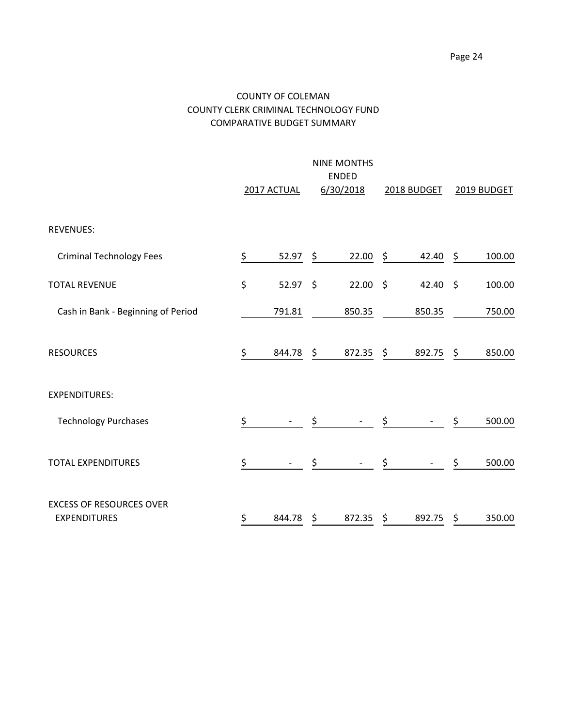## COUNTY OF COLEMAN COUNTY CLERK CRIMINAL TECHNOLOGY FUND COMPARATIVE BUDGET SUMMARY

|                                                        | 2017 ACTUAL      | <b>NINE MONTHS</b><br><b>ENDED</b><br>6/30/2018 |               | 2018 BUDGET | 2019 BUDGET |        |
|--------------------------------------------------------|------------------|-------------------------------------------------|---------------|-------------|-------------|--------|
| <b>REVENUES:</b>                                       |                  |                                                 |               |             |             |        |
| <b>Criminal Technology Fees</b>                        | \$<br>52.97      | \$<br>22.00                                     | \$            | 42.40       | \$          | 100.00 |
| <b>TOTAL REVENUE</b>                                   | \$<br>$52.97$ \$ | $22.00$ \$                                      |               | 42.40       | $\zeta$     | 100.00 |
| Cash in Bank - Beginning of Period                     | 791.81           | 850.35                                          |               | 850.35      |             | 750.00 |
| <b>RESOURCES</b>                                       | \$<br>844.78     | \$<br>872.35                                    | $\frac{1}{2}$ | 892.75      | \$          | 850.00 |
| <b>EXPENDITURES:</b>                                   |                  |                                                 |               |             |             |        |
| <b>Technology Purchases</b>                            | \$               | \$                                              | \$            |             | \$          | 500.00 |
| <b>TOTAL EXPENDITURES</b>                              | \$               | \$                                              | \$            |             | \$          | 500.00 |
| <b>EXCESS OF RESOURCES OVER</b><br><b>EXPENDITURES</b> | \$<br>844.78     | \$<br>872.35                                    | \$            | 892.75      | \$          | 350.00 |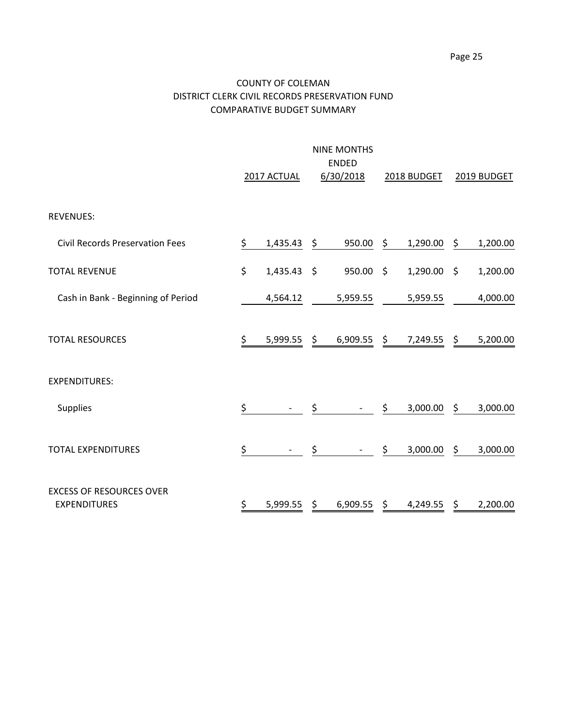## COUNTY OF COLEMAN DISTRICT CLERK CIVIL RECORDS PRESERVATION FUND COMPARATIVE BUDGET SUMMARY

|                                                        |    | 2017 ACTUAL   |     | <b>NINE MONTHS</b><br><b>ENDED</b><br>6/30/2018 |         | 2018 BUDGET |               | 2019 BUDGET |
|--------------------------------------------------------|----|---------------|-----|-------------------------------------------------|---------|-------------|---------------|-------------|
| <b>REVENUES:</b>                                       |    |               |     |                                                 |         |             |               |             |
| <b>Civil Records Preservation Fees</b>                 | \$ | 1,435.43      | \$  | 950.00                                          | \$      | 1,290.00    | \$            | 1,200.00    |
| <b>TOTAL REVENUE</b>                                   | \$ | $1,435.43$ \$ |     | 950.00                                          | $\zeta$ | 1,290.00    | \$            | 1,200.00    |
| Cash in Bank - Beginning of Period                     |    | 4,564.12      |     | 5,959.55                                        |         | 5,959.55    |               | 4,000.00    |
| <b>TOTAL RESOURCES</b>                                 | \$ | 5,999.55      | \$. | $6,909.55$ \$                                   |         | 7,249.55    | $\frac{1}{2}$ | 5,200.00    |
| <b>EXPENDITURES:</b>                                   |    |               |     |                                                 |         |             |               |             |
| <b>Supplies</b>                                        | \$ |               | \$  |                                                 | \$      | 3,000.00    | \$            | 3,000.00    |
| <b>TOTAL EXPENDITURES</b>                              | \$ |               | \$  |                                                 | \$      | 3,000.00    | \$            | 3,000.00    |
| <b>EXCESS OF RESOURCES OVER</b><br><b>EXPENDITURES</b> | \$ | 5,999.55      | \$  | 6,909.55                                        | \$      | 4,249.55    | \$            | 2,200.00    |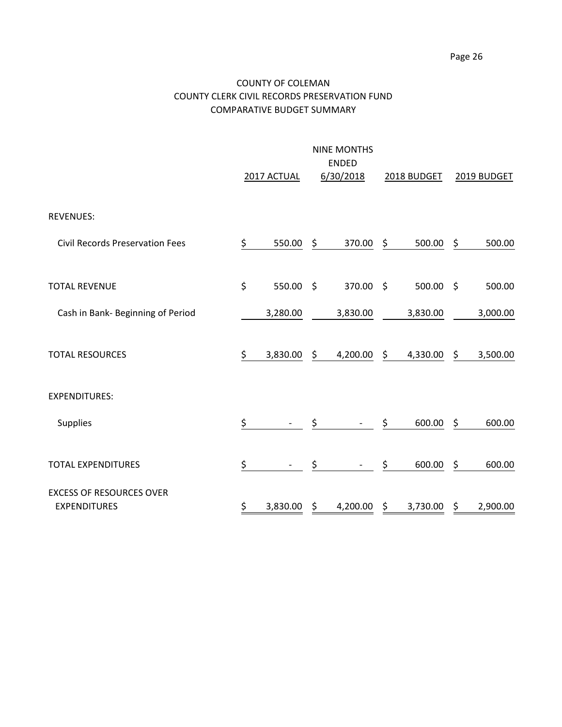## COUNTY OF COLEMAN COUNTY CLERK CIVIL RECORDS PRESERVATION FUND COMPARATIVE BUDGET SUMMARY

|                                                        | <b>NINE MONTHS</b><br><b>ENDED</b> |             |         |           |                     |             |     |             |  |  |
|--------------------------------------------------------|------------------------------------|-------------|---------|-----------|---------------------|-------------|-----|-------------|--|--|
|                                                        |                                    | 2017 ACTUAL |         | 6/30/2018 |                     | 2018 BUDGET |     | 2019 BUDGET |  |  |
| <b>REVENUES:</b>                                       |                                    |             |         |           |                     |             |     |             |  |  |
| <b>Civil Records Preservation Fees</b>                 | \$                                 | 550.00      | \$      | 370.00    | \$                  | 500.00      | \$  | 500.00      |  |  |
| <b>TOTAL REVENUE</b>                                   | \$                                 | 550.00      | $\zeta$ | 370.00    | $\ddot{\mathsf{s}}$ | 500.00      | -\$ | 500.00      |  |  |
| Cash in Bank- Beginning of Period                      |                                    | 3,280.00    |         | 3,830.00  |                     | 3,830.00    |     | 3,000.00    |  |  |
| <b>TOTAL RESOURCES</b>                                 | \$                                 | 3,830.00    | \$      | 4,200.00  | \$                  | 4,330.00    | \$  | 3,500.00    |  |  |
| <b>EXPENDITURES:</b>                                   |                                    |             |         |           |                     |             |     |             |  |  |
| Supplies                                               | \$                                 |             | \$      |           | \$                  | 600.00      | \$  | 600.00      |  |  |
| <b>TOTAL EXPENDITURES</b>                              | \$                                 |             | \$      |           | \$                  | 600.00      | \$  | 600.00      |  |  |
| <b>EXCESS OF RESOURCES OVER</b><br><b>EXPENDITURES</b> | \$                                 | 3,830.00    | \$      | 4,200.00  | \$                  | 3,730.00    | \$  | 2,900.00    |  |  |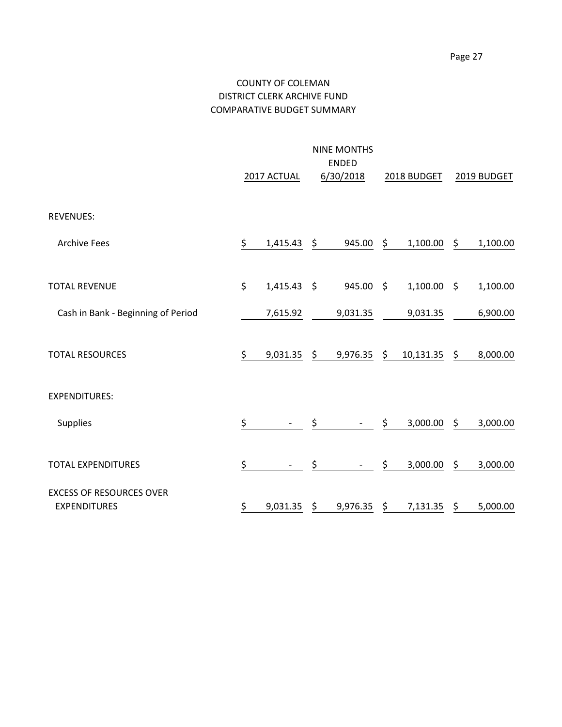## COUNTY OF COLEMAN DISTRICT CLERK ARCHIVE FUND COMPARATIVE BUDGET SUMMARY

|                                                        |    | 2017 ACTUAL   | <b>NINE MONTHS</b><br><b>ENDED</b><br>6/30/2018 |                     | 2018 BUDGET   | 2019 BUDGET    |  |
|--------------------------------------------------------|----|---------------|-------------------------------------------------|---------------------|---------------|----------------|--|
| <b>REVENUES:</b>                                       |    |               |                                                 |                     |               |                |  |
| <b>Archive Fees</b>                                    | \$ | 1,415.43      | \$<br>945.00                                    | \$                  | 1,100.00      | \$<br>1,100.00 |  |
| <b>TOTAL REVENUE</b>                                   | \$ | $1,415.43$ \$ | 945.00                                          | $\ddot{\mathsf{S}}$ | $1,100.00$ \$ | 1,100.00       |  |
| Cash in Bank - Beginning of Period                     |    | 7,615.92      | 9,031.35                                        |                     | 9,031.35      | 6,900.00       |  |
| <b>TOTAL RESOURCES</b>                                 | \$ | 9,031.35      | \$<br>9,976.35                                  | \$                  | 10,131.35     | \$<br>8,000.00 |  |
| <b>EXPENDITURES:</b>                                   |    |               |                                                 |                     |               |                |  |
| Supplies                                               | \$ |               | \$                                              | \$                  | 3,000.00      | \$<br>3,000.00 |  |
| <b>TOTAL EXPENDITURES</b>                              | \$ |               | \$                                              | \$                  | 3,000.00      | \$<br>3,000.00 |  |
| <b>EXCESS OF RESOURCES OVER</b><br><b>EXPENDITURES</b> | \$ | 9,031.35      | \$<br>9,976.35                                  | \$                  | 7,131.35      | \$<br>5,000.00 |  |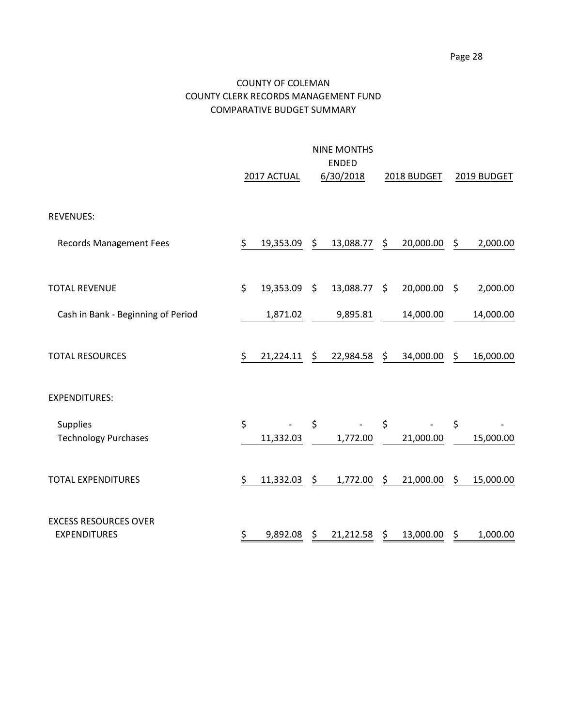## COUNTY OF COLEMAN COUNTY CLERK RECORDS MANAGEMENT FUND COMPARATIVE BUDGET SUMMARY

|                                                     |    | 2017 ACTUAL  | <b>NINE MONTHS</b><br><b>ENDED</b><br>6/30/2018 | 2018 BUDGET     |      | 2019 BUDGET |
|-----------------------------------------------------|----|--------------|-------------------------------------------------|-----------------|------|-------------|
| <b>REVENUES:</b>                                    |    |              |                                                 |                 |      |             |
| <b>Records Management Fees</b>                      | \$ | 19,353.09    | \$<br>13,088.77                                 | \$<br>20,000.00 | \$   | 2,000.00    |
| <b>TOTAL REVENUE</b>                                | \$ | 19,353.09 \$ | 13,088.77 \$                                    | 20,000.00       | - \$ | 2,000.00    |
| Cash in Bank - Beginning of Period                  |    | 1,871.02     | 9,895.81                                        | 14,000.00       |      | 14,000.00   |
| <b>TOTAL RESOURCES</b>                              | \$ | 21,224.11    | \$<br>22,984.58                                 | \$<br>34,000.00 | \$   | 16,000.00   |
| <b>EXPENDITURES:</b>                                |    |              |                                                 |                 |      |             |
| <b>Supplies</b><br><b>Technology Purchases</b>      | \$ | 11,332.03    | \$<br>1,772.00                                  | \$<br>21,000.00 | \$   | 15,000.00   |
| <b>TOTAL EXPENDITURES</b>                           | \$ | 11,332.03    | \$<br>1,772.00                                  | \$<br>21,000.00 | \$   | 15,000.00   |
| <b>EXCESS RESOURCES OVER</b><br><b>EXPENDITURES</b> | \$ | 9,892.08     | \$<br>21,212.58                                 | \$<br>13,000.00 | \$   | 1,000.00    |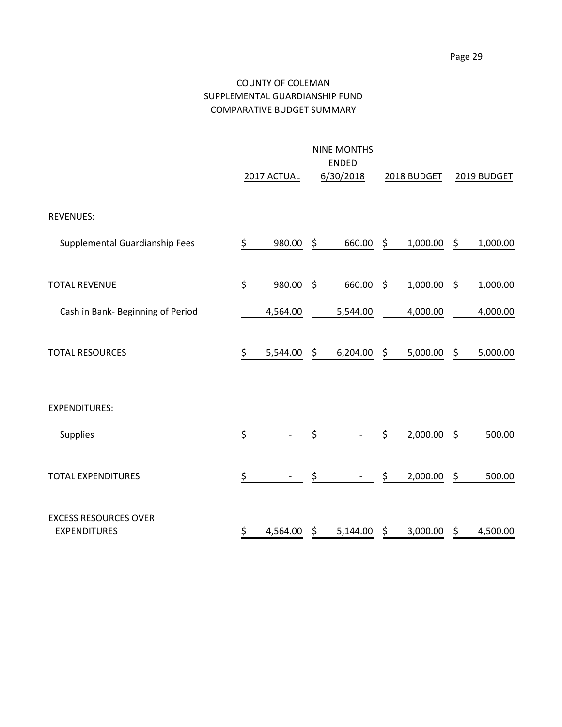## COUNTY OF COLEMAN SUPPLEMENTAL GUARDIANSHIP FUND COMPARATIVE BUDGET SUMMARY

|                                                     |    | 2017 ACTUAL | <b>NINE MONTHS</b><br><b>ENDED</b><br>6/30/2018 |         | 2018 BUDGET |         | 2019 BUDGET |
|-----------------------------------------------------|----|-------------|-------------------------------------------------|---------|-------------|---------|-------------|
| <b>REVENUES:</b>                                    |    |             |                                                 |         |             |         |             |
| Supplemental Guardianship Fees                      | \$ | 980.00      | \$<br>660.00                                    | \$      | 1,000.00    | \$      | 1,000.00    |
| <b>TOTAL REVENUE</b>                                | \$ | 980.00      | \$<br>660.00                                    | $\zeta$ | 1,000.00    | $\zeta$ | 1,000.00    |
| Cash in Bank- Beginning of Period                   |    | 4,564.00    | 5,544.00                                        |         | 4,000.00    |         | 4,000.00    |
| <b>TOTAL RESOURCES</b>                              | \$ | 5,544.00    | \$<br>6,204.00                                  | \$      | 5,000.00    | \$      | 5,000.00    |
| <b>EXPENDITURES:</b>                                |    |             |                                                 |         |             |         |             |
| Supplies                                            | \$ |             | \$                                              | \$      | 2,000.00    | \$      | 500.00      |
| <b>TOTAL EXPENDITURES</b>                           | \$ |             | \$                                              | \$      | 2,000.00    | \$      | 500.00      |
| <b>EXCESS RESOURCES OVER</b><br><b>EXPENDITURES</b> | \$ | 4,564.00    | \$<br>5,144.00                                  | \$      | 3,000.00    | \$      | 4,500.00    |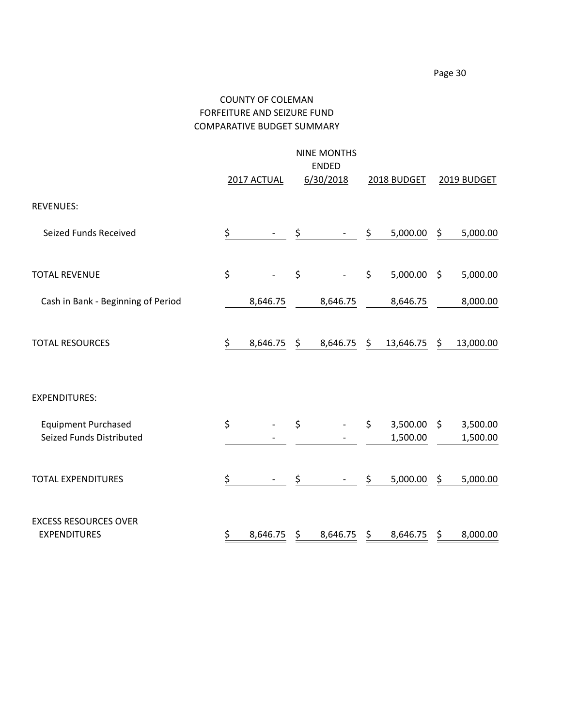# COUNTY OF COLEMAN FORFEITURE AND SEIZURE FUND COMPARATIVE BUDGET SUMMARY

|                                                        |    | 2017 ACTUAL | <b>NINE MONTHS</b><br><b>ENDED</b><br>6/30/2018 |         | 2018 BUDGET          |     | 2019 BUDGET          |
|--------------------------------------------------------|----|-------------|-------------------------------------------------|---------|----------------------|-----|----------------------|
| <b>REVENUES:</b>                                       |    |             |                                                 |         |                      |     |                      |
| Seized Funds Received                                  | \$ |             | \$                                              | \$      | 5,000.00             | \$  | 5,000.00             |
| <b>TOTAL REVENUE</b>                                   | \$ |             | \$                                              | $\zeta$ | 5,000.00             | -\$ | 5,000.00             |
| Cash in Bank - Beginning of Period                     |    | 8,646.75    | 8,646.75                                        |         | 8,646.75             |     | 8,000.00             |
| <b>TOTAL RESOURCES</b>                                 | \$ | 8,646.75    | \$<br>8,646.75                                  | \$      | 13,646.75            | \$  | 13,000.00            |
| <b>EXPENDITURES:</b>                                   |    |             |                                                 |         |                      |     |                      |
| <b>Equipment Purchased</b><br>Seized Funds Distributed | \$ |             | \$                                              | \$      | 3,500.00<br>1,500.00 | \$  | 3,500.00<br>1,500.00 |
| <b>TOTAL EXPENDITURES</b>                              | \$ |             | \$                                              | \$      | 5,000.00             | \$  | 5,000.00             |
| <b>EXCESS RESOURCES OVER</b><br><b>EXPENDITURES</b>    | \$ | 8,646.75    | \$<br>8,646.75                                  | \$      | 8,646.75             | \$  | 8,000.00             |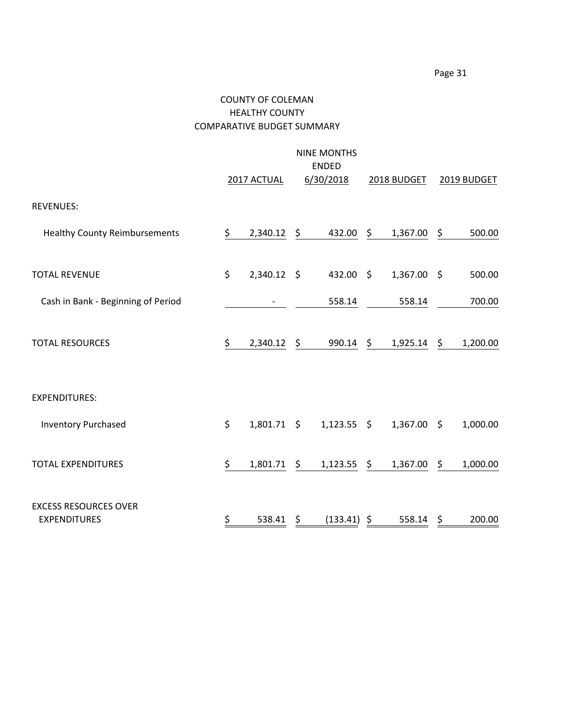## COUNTY OF COLEMAN HEALTHY COUNTY COMPARATIVE BUDGET SUMMARY

|                                                     | <b>NINE MONTHS</b><br><b>ENDED</b> |                    |    |               |    |             |     |             |  |
|-----------------------------------------------------|------------------------------------|--------------------|----|---------------|----|-------------|-----|-------------|--|
|                                                     |                                    | 2017 ACTUAL        |    | 6/30/2018     |    | 2018 BUDGET |     | 2019 BUDGET |  |
| <b>REVENUES:</b>                                    |                                    |                    |    |               |    |             |     |             |  |
| <b>Healthy County Reimbursements</b>                | \$                                 | 2,340.12           | \$ | 432.00        | \$ | 1,367.00    | \$  | 500.00      |  |
| <b>TOTAL REVENUE</b>                                | \$                                 | 2,340.12 \$        |    | 432.00 \$     |    | 1,367.00    | -\$ | 500.00      |  |
| Cash in Bank - Beginning of Period                  |                                    |                    |    | 558.14        |    | 558.14      |     | 700.00      |  |
| <b>TOTAL RESOURCES</b>                              | \$                                 | 2,340.12           | \$ | 990.14        | \$ | 1,925.14    | \$  | 1,200.00    |  |
| <b>EXPENDITURES:</b>                                |                                    |                    |    |               |    |             |     |             |  |
| <b>Inventory Purchased</b>                          | \$                                 | $1,801.71 \quad $$ |    | $1,123.55$ \$ |    | 1,367.00    | \$  | 1,000.00    |  |
| <b>TOTAL EXPENDITURES</b>                           | \$                                 | 1,801.71           | \$ | 1,123.55      | \$ | 1,367.00    | \$  | 1,000.00    |  |
| <b>EXCESS RESOURCES OVER</b><br><b>EXPENDITURES</b> | \$                                 | 538.41             | \$ | (133.41)      | \$ | 558.14      | \$  | 200.00      |  |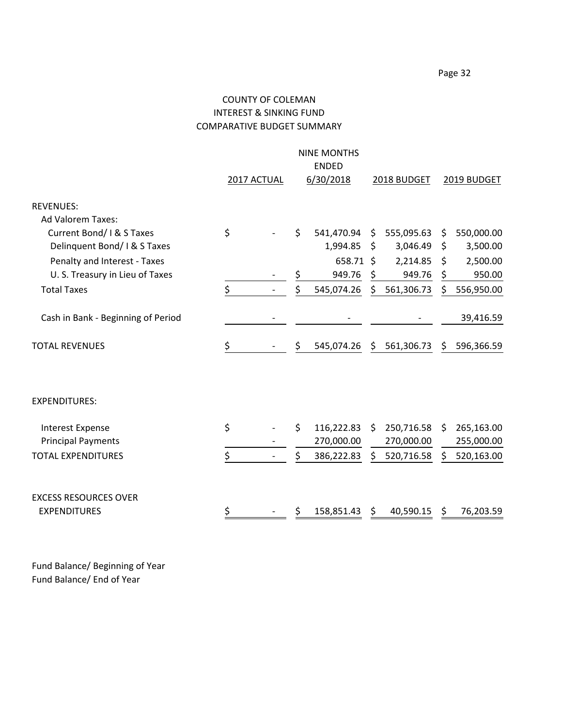## COUNTY OF COLEMAN INTEREST & SINKING FUND COMPARATIVE BUDGET SUMMARY

|    |             | <b>NINE MONTHS</b> |           |            |                             |             |
|----|-------------|--------------------|-----------|------------|-----------------------------|-------------|
|    |             | <b>ENDED</b>       |           |            |                             |             |
|    |             |                    |           |            |                             | 2019 BUDGET |
|    |             |                    |           |            |                             |             |
|    |             |                    |           |            |                             |             |
|    | \$          | 541,470.94         | Ŝ.        | 555,095.63 | \$                          | 550,000.00  |
|    |             | 1,994.85           | \$        | 3,046.49   | \$                          | 3,500.00    |
|    |             |                    |           | 2,214.85   | \$                          | 2,500.00    |
|    | \$          | 949.76             | \$        | 949.76     | \$                          | 950.00      |
| \$ | \$          | 545,074.26         | \$        | 561,306.73 | \$                          | 556,950.00  |
|    |             |                    |           |            |                             |             |
|    |             |                    |           |            |                             | 39,416.59   |
| \$ | \$          | 545,074.26         |           |            | S.                          | 596,366.59  |
|    |             |                    |           |            |                             |             |
|    |             |                    |           |            |                             |             |
| \$ | \$          | 116,222.83         | \$.       | 250,716.58 | S.                          | 265,163.00  |
|    |             | 270,000.00         |           | 270,000.00 |                             | 255,000.00  |
| \$ | \$          | 386,222.83         | \$        | 520,716.58 | \$                          | 520,163.00  |
|    |             |                    |           |            |                             |             |
|    |             |                    |           |            |                             |             |
| \$ | \$          | 158,851.43         | \$        | 40,590.15  | S                           | 76,203.59   |
| \$ | 2017 ACTUAL |                    | 6/30/2018 | 658.71 \$  | 2018 BUDGET<br>\$561,306.73 |             |

Fund Balance/ Beginning of Year Fund Balance/ End of Year